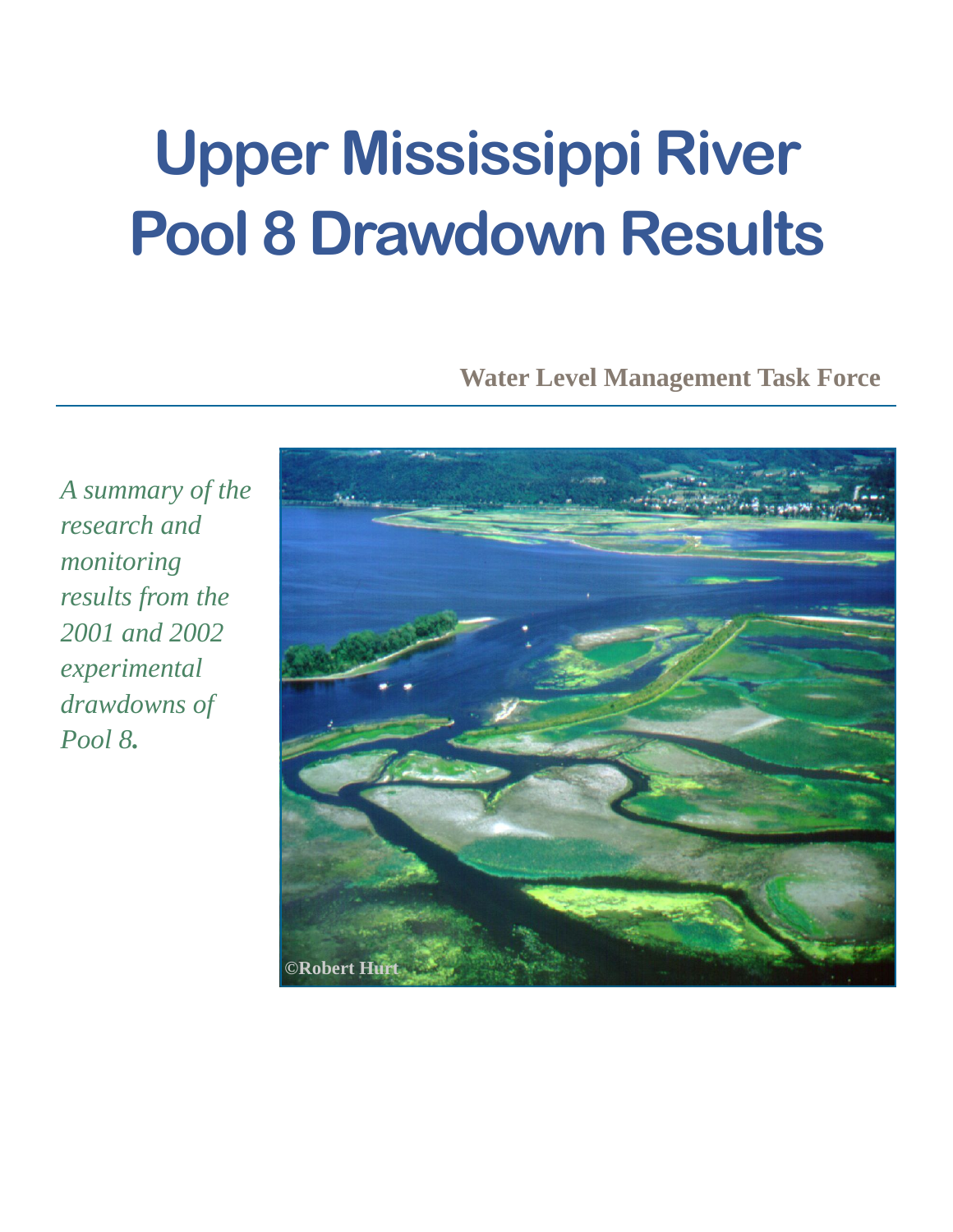# **Upper Mississippi River Pool 8 Drawdown Results**

**Water Level Management Task Force** 

*A summary of the research and monitoring results from the 2001 and 2002 experimental drawdowns of Pool 8.* 

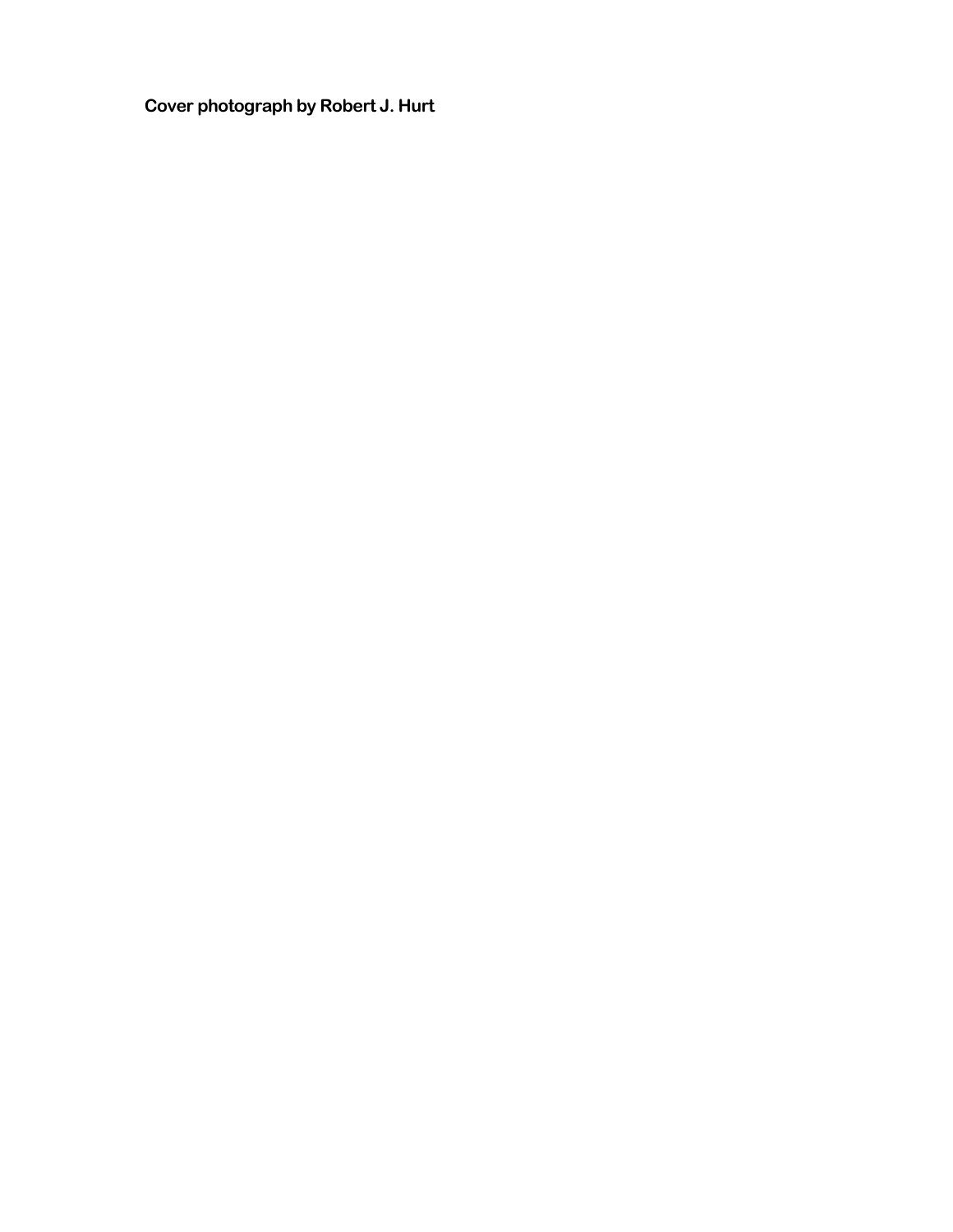**Cover photograph by Robert J. Hurt**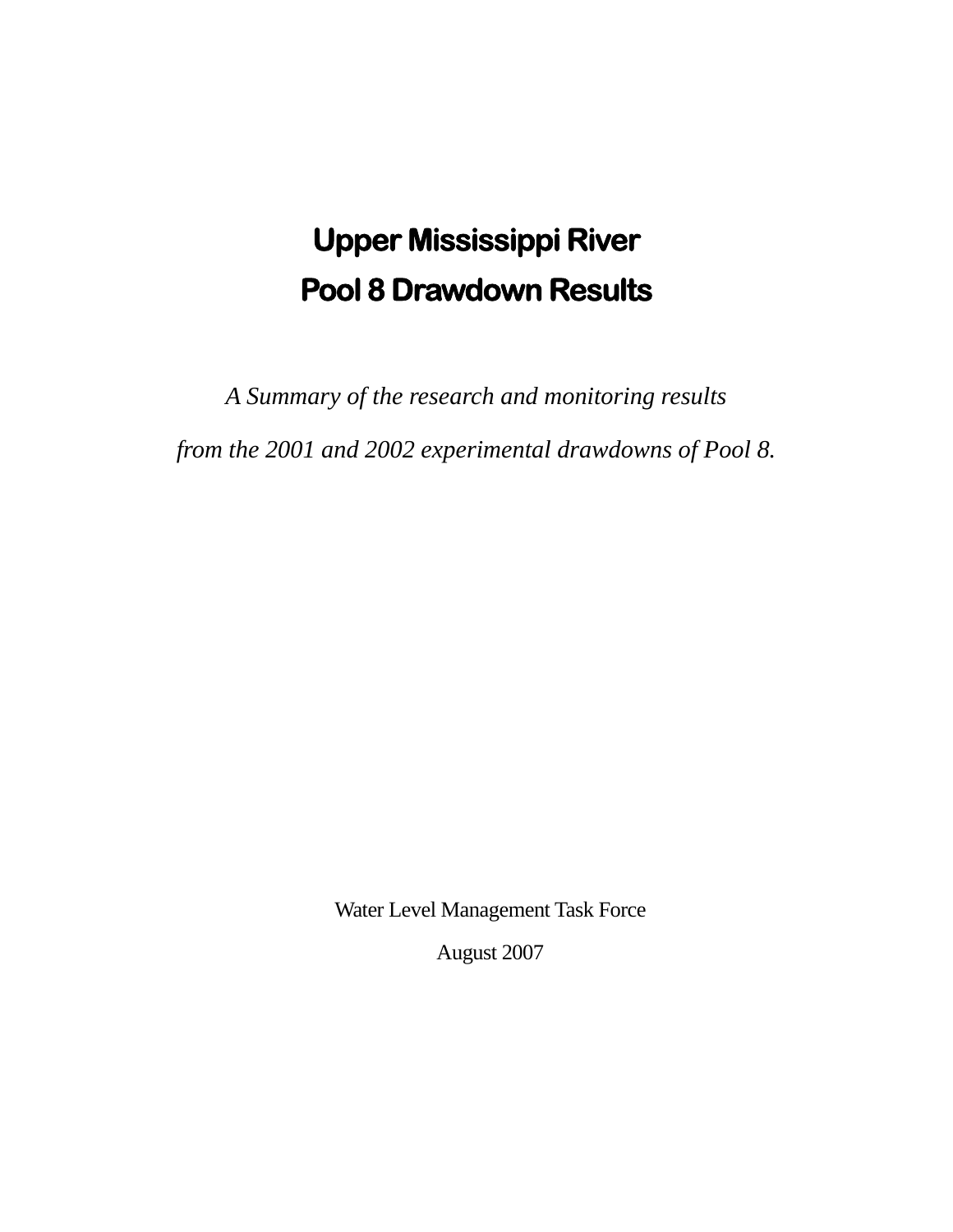# **Upper Mississippi River Pool 8 Drawdown Results**

*A Summary of the research and monitoring results* 

*from the 2001 and 2002 experimental drawdowns of Pool 8.* 

Water Level Management Task Force

August 2007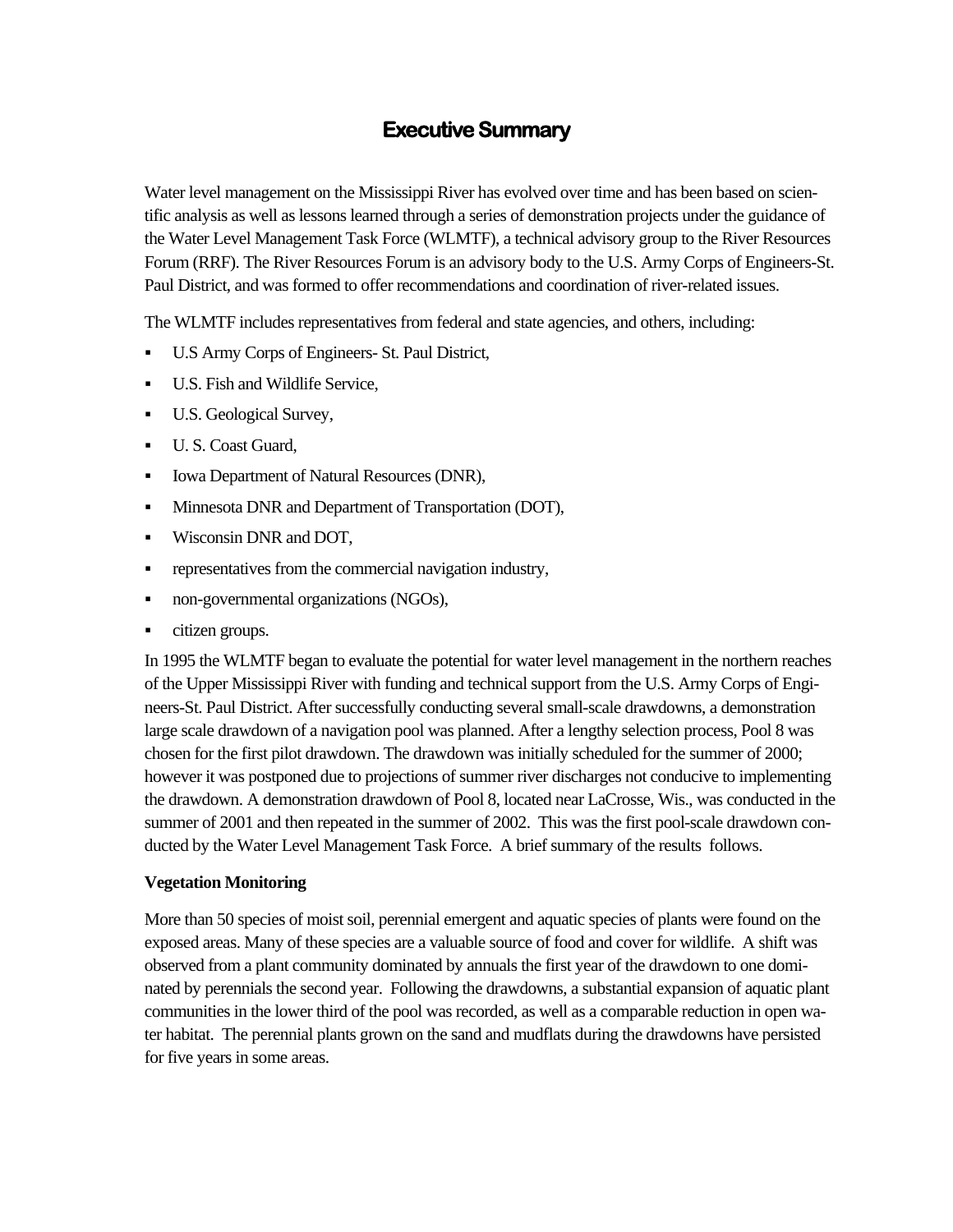## **Executive Summary**

Water level management on the Mississippi River has evolved over time and has been based on scientific analysis as well as lessons learned through a series of demonstration projects under the guidance of the Water Level Management Task Force (WLMTF), a technical advisory group to the River Resources Forum (RRF). The River Resources Forum is an advisory body to the U.S. Army Corps of Engineers-St. Paul District, and was formed to offer recommendations and coordination of river-related issues.

The WLMTF includes representatives from federal and state agencies, and others, including:

- U.S Army Corps of Engineers- St. Paul District,
- U.S. Fish and Wildlife Service,
- U.S. Geological Survey,
- U.S. Coast Guard,
- Iowa Department of Natural Resources (DNR),
- Minnesota DNR and Department of Transportation (DOT),
- **Wisconsin DNR and DOT,**
- **•** representatives from the commercial navigation industry,
- non-governmental organizations (NGOs),
- citizen groups.

In 1995 the WLMTF began to evaluate the potential for water level management in the northern reaches of the Upper Mississippi River with funding and technical support from the U.S. Army Corps of Engineers-St. Paul District. After successfully conducting several small-scale drawdowns, a demonstration large scale drawdown of a navigation pool was planned. After a lengthy selection process, Pool 8 was chosen for the first pilot drawdown. The drawdown was initially scheduled for the summer of 2000; however it was postponed due to projections of summer river discharges not conducive to implementing the drawdown. A demonstration drawdown of Pool 8, located near LaCrosse, Wis., was conducted in the summer of 2001 and then repeated in the summer of 2002. This was the first pool-scale drawdown conducted by the Water Level Management Task Force. A brief summary of the results follows.

#### **Vegetation Monitoring**

More than 50 species of moist soil, perennial emergent and aquatic species of plants were found on the exposed areas. Many of these species are a valuable source of food and cover for wildlife. A shift was observed from a plant community dominated by annuals the first year of the drawdown to one dominated by perennials the second year. Following the drawdowns, a substantial expansion of aquatic plant communities in the lower third of the pool was recorded, as well as a comparable reduction in open water habitat. The perennial plants grown on the sand and mudflats during the drawdowns have persisted for five years in some areas.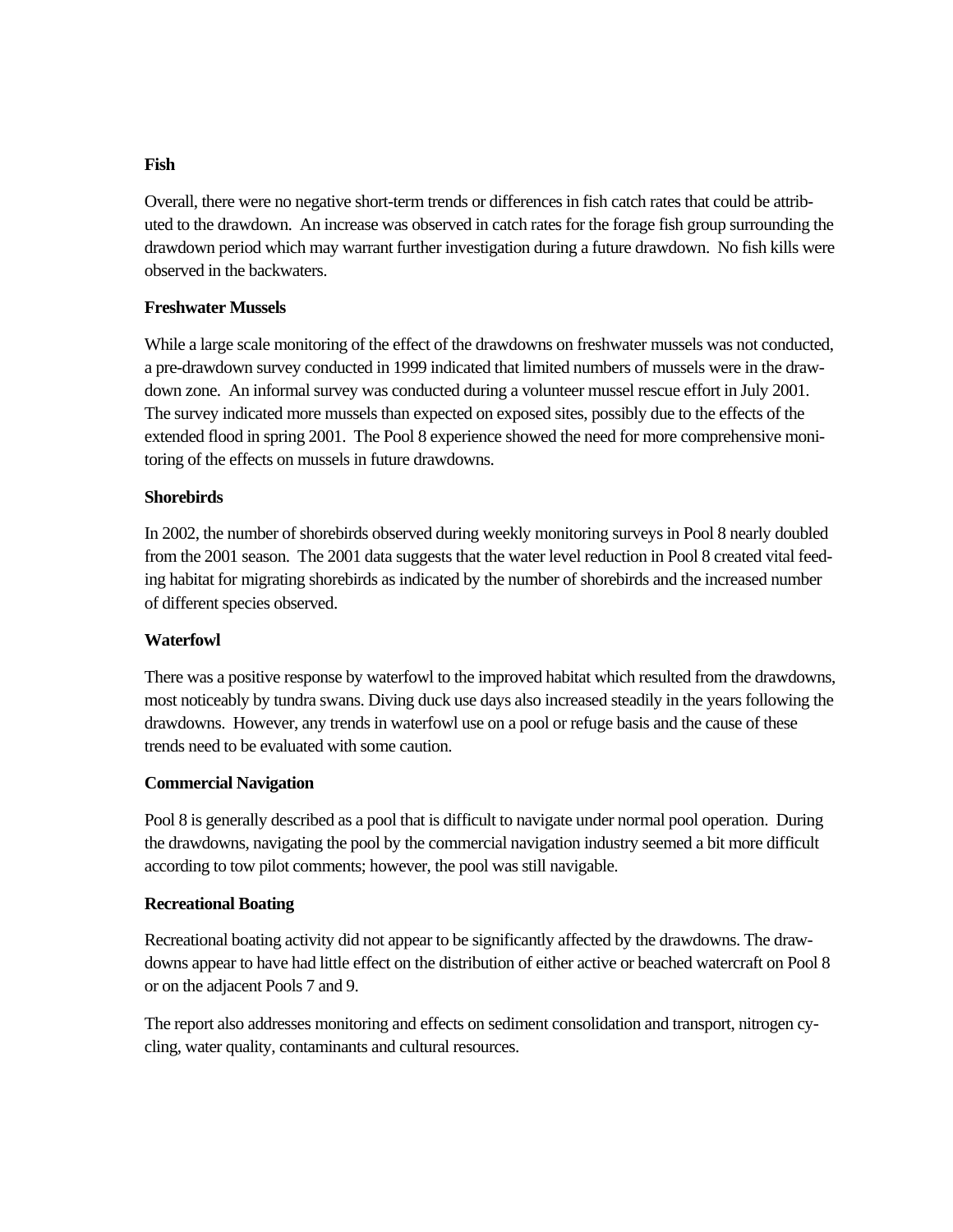#### **Fish**

Overall, there were no negative short-term trends or differences in fish catch rates that could be attributed to the drawdown. An increase was observed in catch rates for the forage fish group surrounding the drawdown period which may warrant further investigation during a future drawdown. No fish kills were observed in the backwaters.

#### **Freshwater Mussels**

While a large scale monitoring of the effect of the drawdowns on freshwater mussels was not conducted, a pre-drawdown survey conducted in 1999 indicated that limited numbers of mussels were in the drawdown zone. An informal survey was conducted during a volunteer mussel rescue effort in July 2001. The survey indicated more mussels than expected on exposed sites, possibly due to the effects of the extended flood in spring 2001. The Pool 8 experience showed the need for more comprehensive monitoring of the effects on mussels in future drawdowns.

#### **Shorebirds**

In 2002, the number of shorebirds observed during weekly monitoring surveys in Pool 8 nearly doubled from the 2001 season. The 2001 data suggests that the water level reduction in Pool 8 created vital feeding habitat for migrating shorebirds as indicated by the number of shorebirds and the increased number of different species observed.

#### **Waterfowl**

There was a positive response by waterfowl to the improved habitat which resulted from the drawdowns, most noticeably by tundra swans. Diving duck use days also increased steadily in the years following the drawdowns. However, any trends in waterfowl use on a pool or refuge basis and the cause of these trends need to be evaluated with some caution.

#### **Commercial Navigation**

Pool 8 is generally described as a pool that is difficult to navigate under normal pool operation. During the drawdowns, navigating the pool by the commercial navigation industry seemed a bit more difficult according to tow pilot comments; however, the pool was still navigable.

#### **Recreational Boating**

Recreational boating activity did not appear to be significantly affected by the drawdowns. The drawdowns appear to have had little effect on the distribution of either active or beached watercraft on Pool 8 or on the adjacent Pools 7 and 9.

The report also addresses monitoring and effects on sediment consolidation and transport, nitrogen cycling, water quality, contaminants and cultural resources.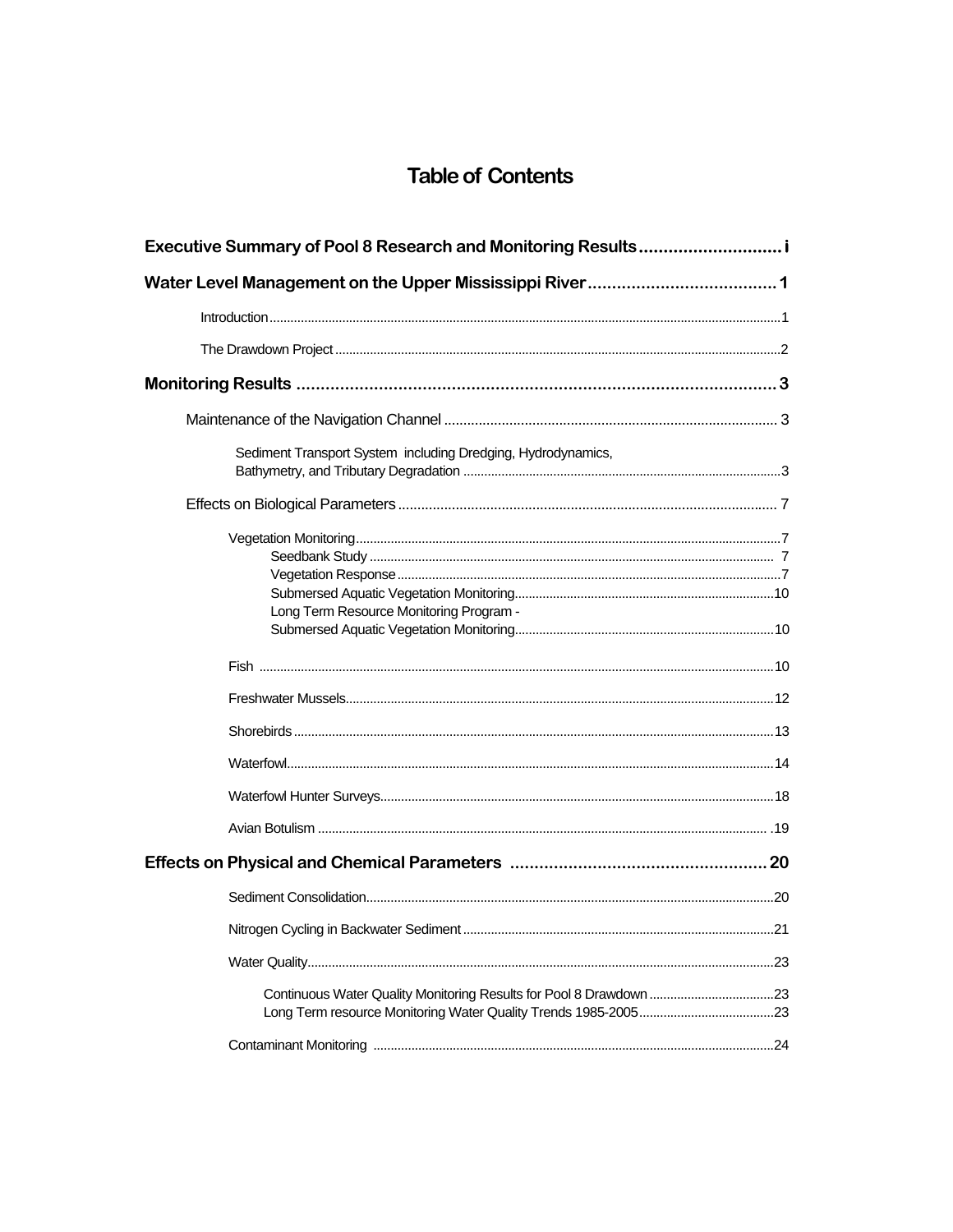# **Table of Contents**

| Sediment Transport System including Dredging, Hydrodynamics,       |  |
|--------------------------------------------------------------------|--|
|                                                                    |  |
| Long Term Resource Monitoring Program -                            |  |
|                                                                    |  |
|                                                                    |  |
|                                                                    |  |
|                                                                    |  |
|                                                                    |  |
|                                                                    |  |
|                                                                    |  |
|                                                                    |  |
|                                                                    |  |
|                                                                    |  |
| Continuous Water Quality Monitoring Results for Pool 8 Drawdown 23 |  |
|                                                                    |  |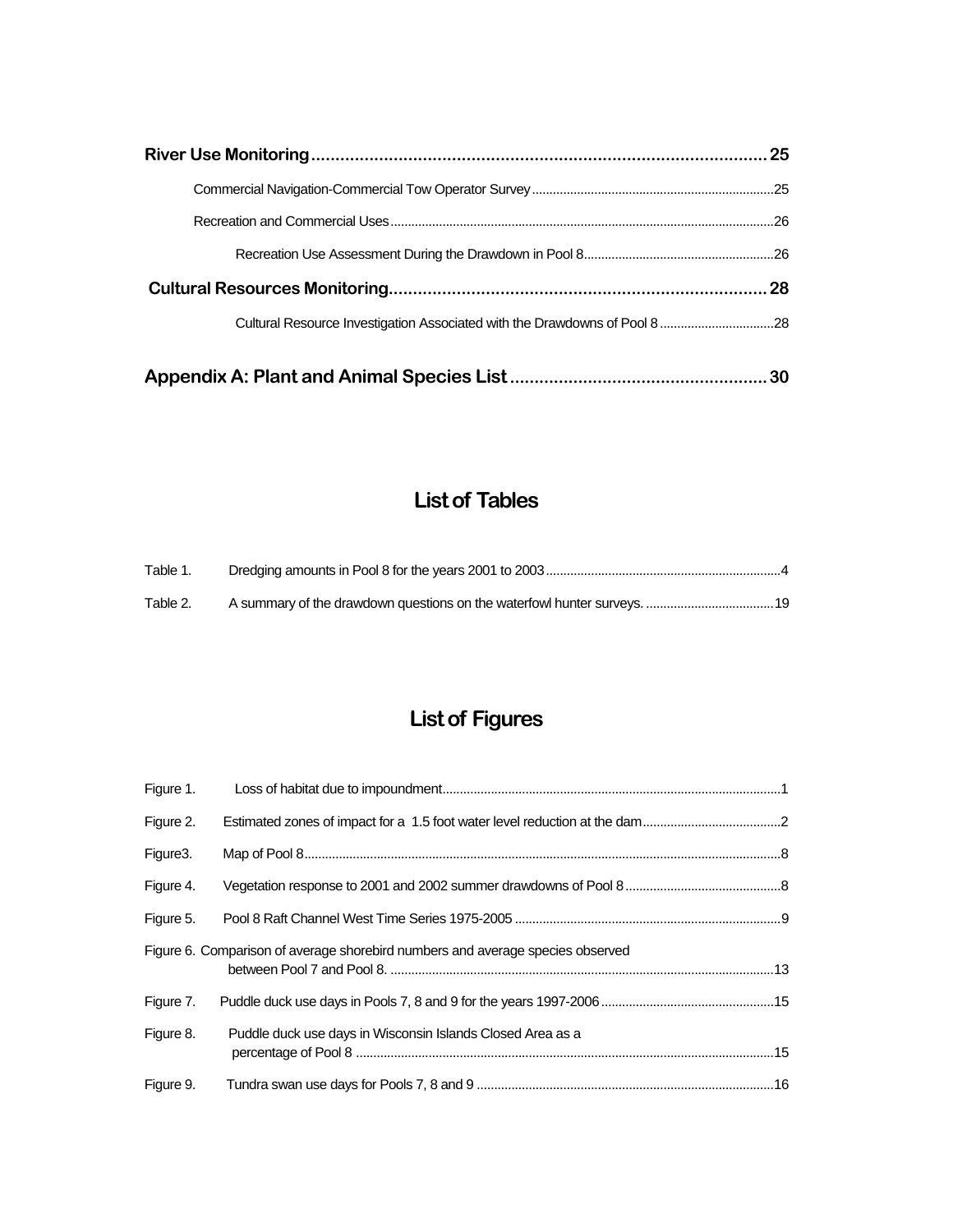# **List of Tables**

| Table 1. |  |
|----------|--|
| Table 2. |  |

# **List of Figures**

| Figure 1. |                                                                                |  |
|-----------|--------------------------------------------------------------------------------|--|
| Figure 2. |                                                                                |  |
| Figure3.  |                                                                                |  |
| Figure 4. |                                                                                |  |
| Figure 5. |                                                                                |  |
|           | Figure 6. Comparison of average shorebird numbers and average species observed |  |
| Figure 7. |                                                                                |  |
| Figure 8. | Puddle duck use days in Wisconsin Islands Closed Area as a                     |  |
| Figure 9. |                                                                                |  |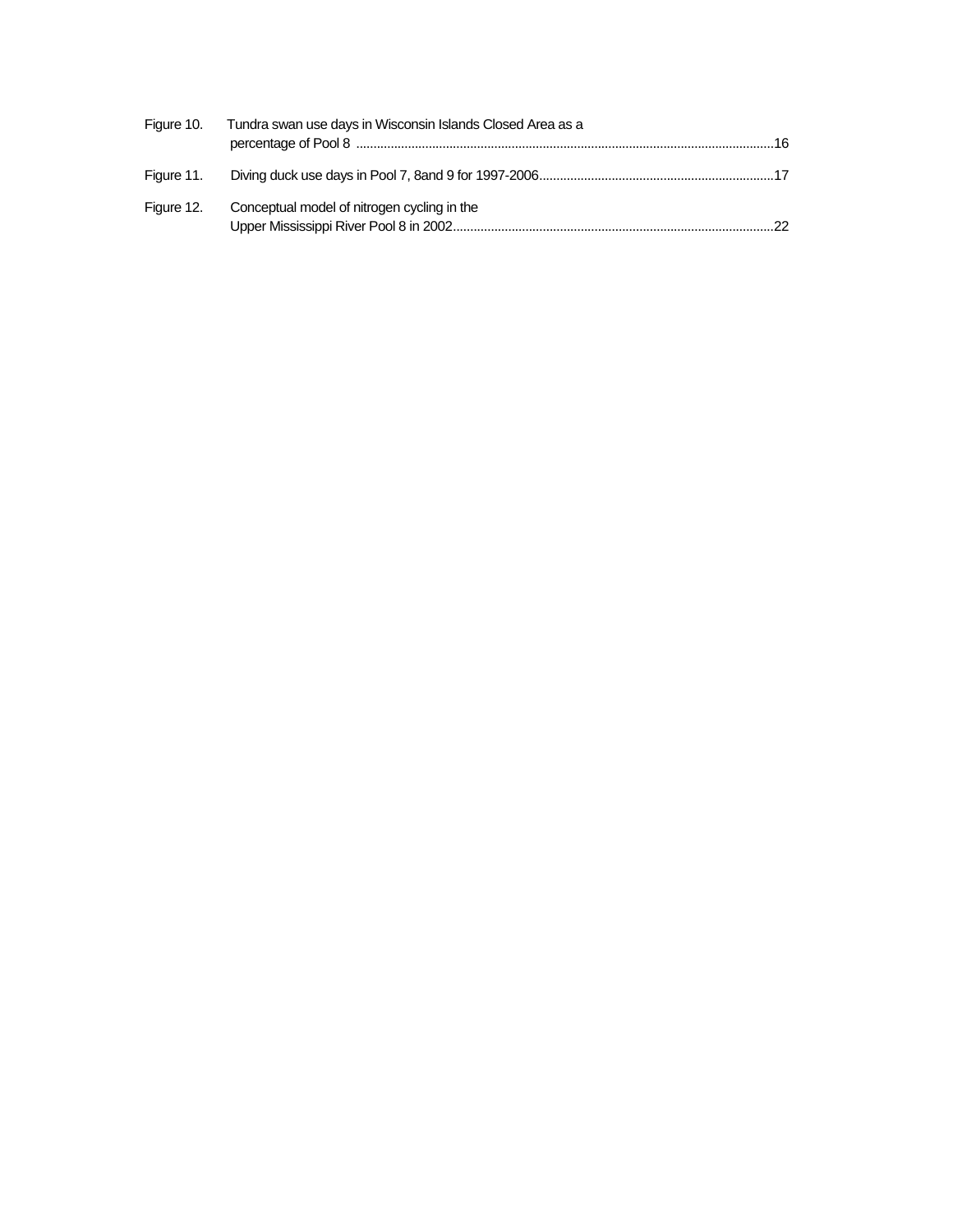| Figure 10. Tundra swan use days in Wisconsin Islands Closed Area as a |  |
|-----------------------------------------------------------------------|--|
|                                                                       |  |
| Figure 12. Conceptual model of nitrogen cycling in the                |  |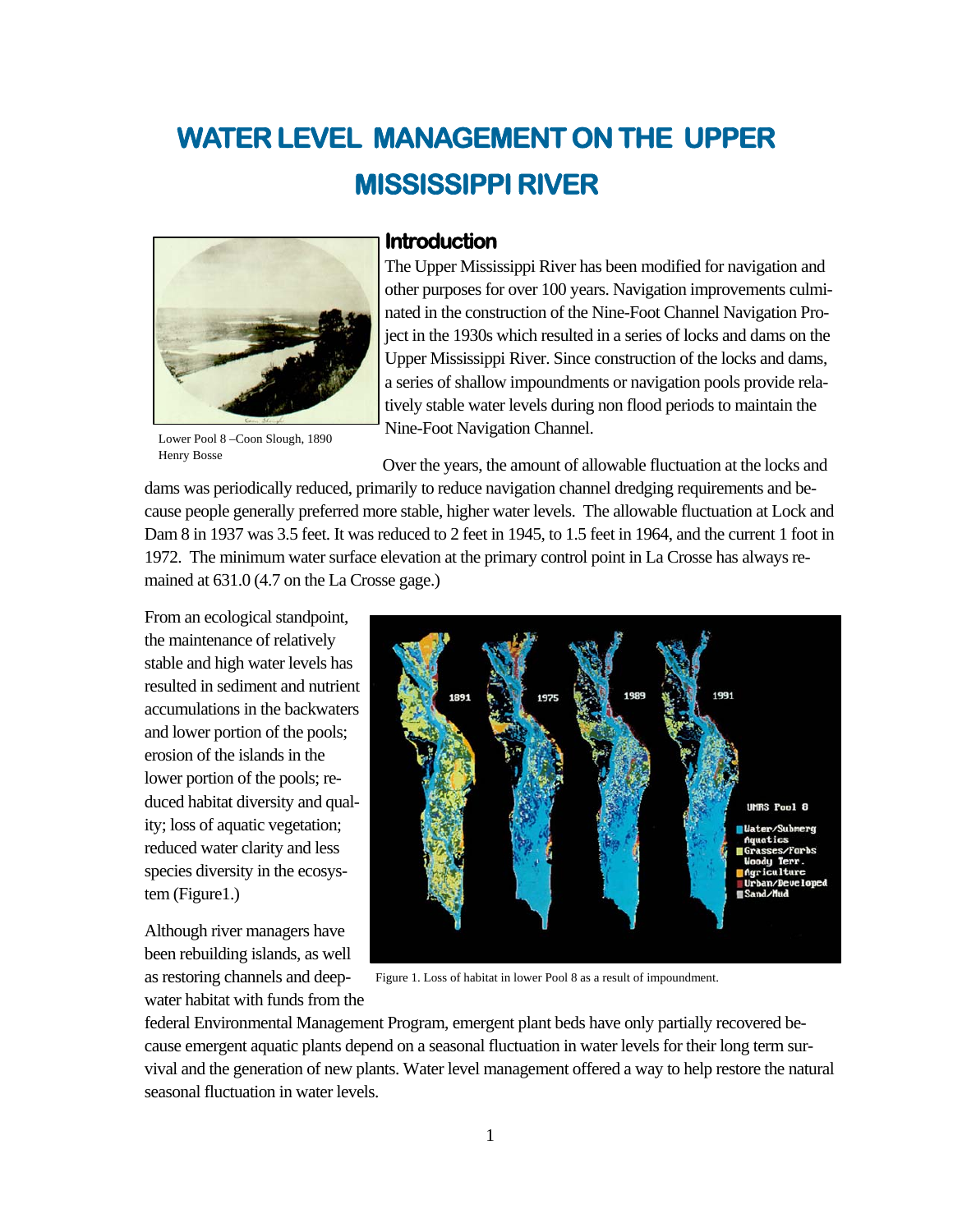# **WATER LEVEL MANAGEMENT ON THE UPPER MISSISSIPPI RIVER**



#### **Introduction**

The Upper Mississippi River has been modified for navigation and other purposes for over 100 years. Navigation improvements culminated in the construction of the Nine-Foot Channel Navigation Project in the 1930s which resulted in a series of locks and dams on the Upper Mississippi River. Since construction of the locks and dams, a series of shallow impoundments or navigation pools provide relatively stable water levels during non flood periods to maintain the Nine-Foot Navigation Channel.

Lower Pool 8 –Coon Slough, 1890 Henry Bosse

Over the years, the amount of allowable fluctuation at the locks and

dams was periodically reduced, primarily to reduce navigation channel dredging requirements and because people generally preferred more stable, higher water levels. The allowable fluctuation at Lock and Dam 8 in 1937 was 3.5 feet. It was reduced to 2 feet in 1945, to 1.5 feet in 1964, and the current 1 foot in 1972. The minimum water surface elevation at the primary control point in La Crosse has always remained at 631.0 (4.7 on the La Crosse gage.)

From an ecological standpoint, the maintenance of relatively stable and high water levels has resulted in sediment and nutrient accumulations in the backwaters and lower portion of the pools; erosion of the islands in the lower portion of the pools; reduced habitat diversity and quality; loss of aquatic vegetation; reduced water clarity and less species diversity in the ecosystem (Figure1.)

Although river managers have been rebuilding islands, as well as restoring channels and deepwater habitat with funds from the



Figure 1. Loss of habitat in lower Pool 8 as a result of impoundment.

federal Environmental Management Program, emergent plant beds have only partially recovered because emergent aquatic plants depend on a seasonal fluctuation in water levels for their long term survival and the generation of new plants. Water level management offered a way to help restore the natural seasonal fluctuation in water levels.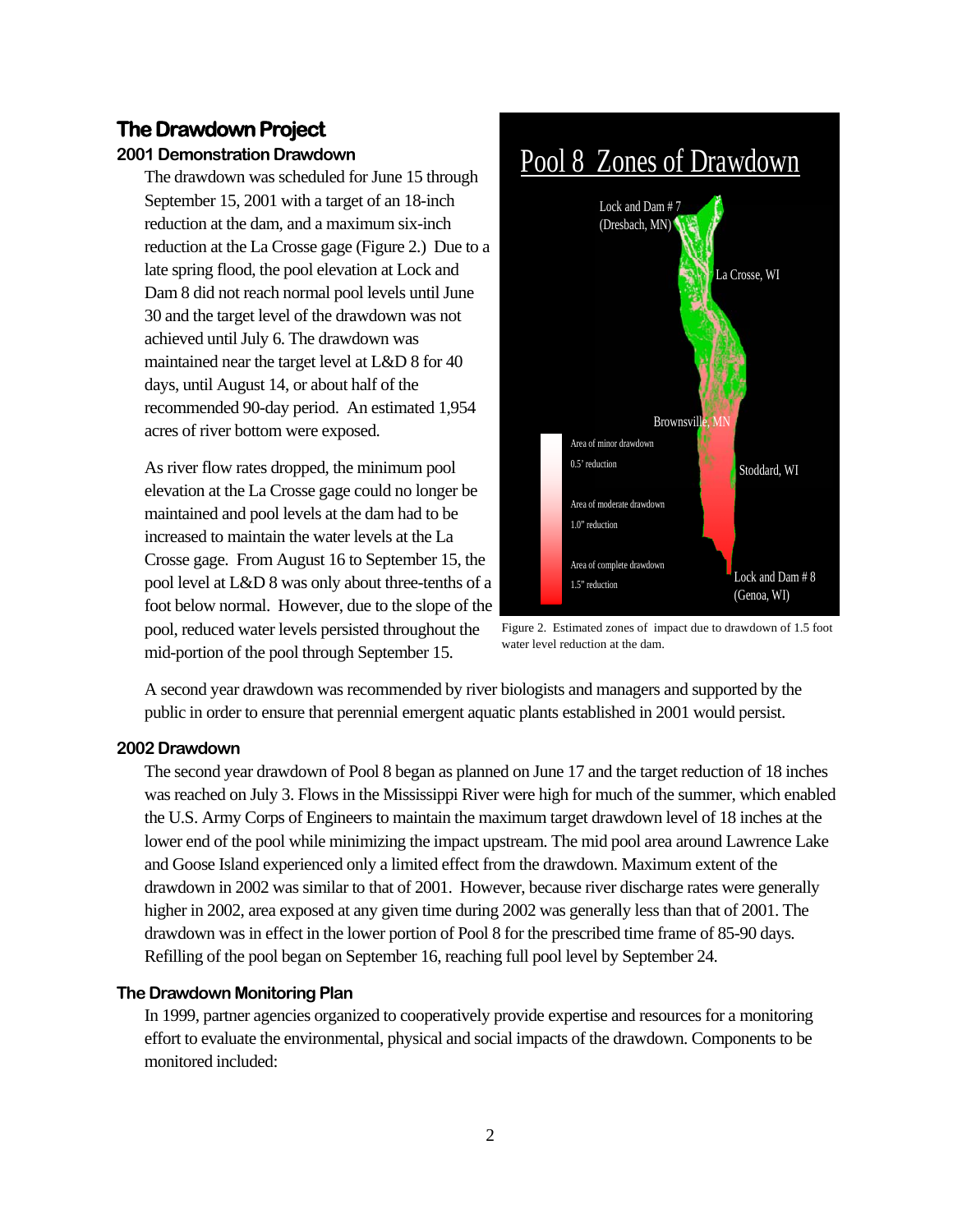#### **The Drawdown Project**

#### **2001 Demonstration Drawdown**

The drawdown was scheduled for June 15 through September 15, 2001 with a target of an 18-inch reduction at the dam, and a maximum six-inch reduction at the La Crosse gage (Figure 2.) Due to a late spring flood, the pool elevation at Lock and Dam 8 did not reach normal pool levels until June 30 and the target level of the drawdown was not achieved until July 6. The drawdown was maintained near the target level at L&D 8 for 40 days, until August 14, or about half of the recommended 90-day period. An estimated 1,954 acres of river bottom were exposed.

As river flow rates dropped, the minimum pool elevation at the La Crosse gage could no longer be maintained and pool levels at the dam had to be increased to maintain the water levels at the La Crosse gage. From August 16 to September 15, the pool level at L&D 8 was only about three-tenths of a foot below normal. However, due to the slope of the pool, reduced water levels persisted throughout the mid-portion of the pool through September 15.



Figure 2. Estimated zones of impact due to drawdown of 1.5 foot water level reduction at the dam.

A second year drawdown was recommended by river biologists and managers and supported by the public in order to ensure that perennial emergent aquatic plants established in 2001 would persist.

#### **2002 Drawdown**

The second year drawdown of Pool 8 began as planned on June 17 and the target reduction of 18 inches was reached on July 3. Flows in the Mississippi River were high for much of the summer, which enabled the U.S. Army Corps of Engineers to maintain the maximum target drawdown level of 18 inches at the lower end of the pool while minimizing the impact upstream. The mid pool area around Lawrence Lake and Goose Island experienced only a limited effect from the drawdown. Maximum extent of the drawdown in 2002 was similar to that of 2001. However, because river discharge rates were generally higher in 2002, area exposed at any given time during 2002 was generally less than that of 2001. The drawdown was in effect in the lower portion of Pool 8 for the prescribed time frame of 85-90 days. Refilling of the pool began on September 16, reaching full pool level by September 24.

#### **The Drawdown Monitoring Plan**

In 1999, partner agencies organized to cooperatively provide expertise and resources for a monitoring effort to evaluate the environmental, physical and social impacts of the drawdown. Components to be monitored included: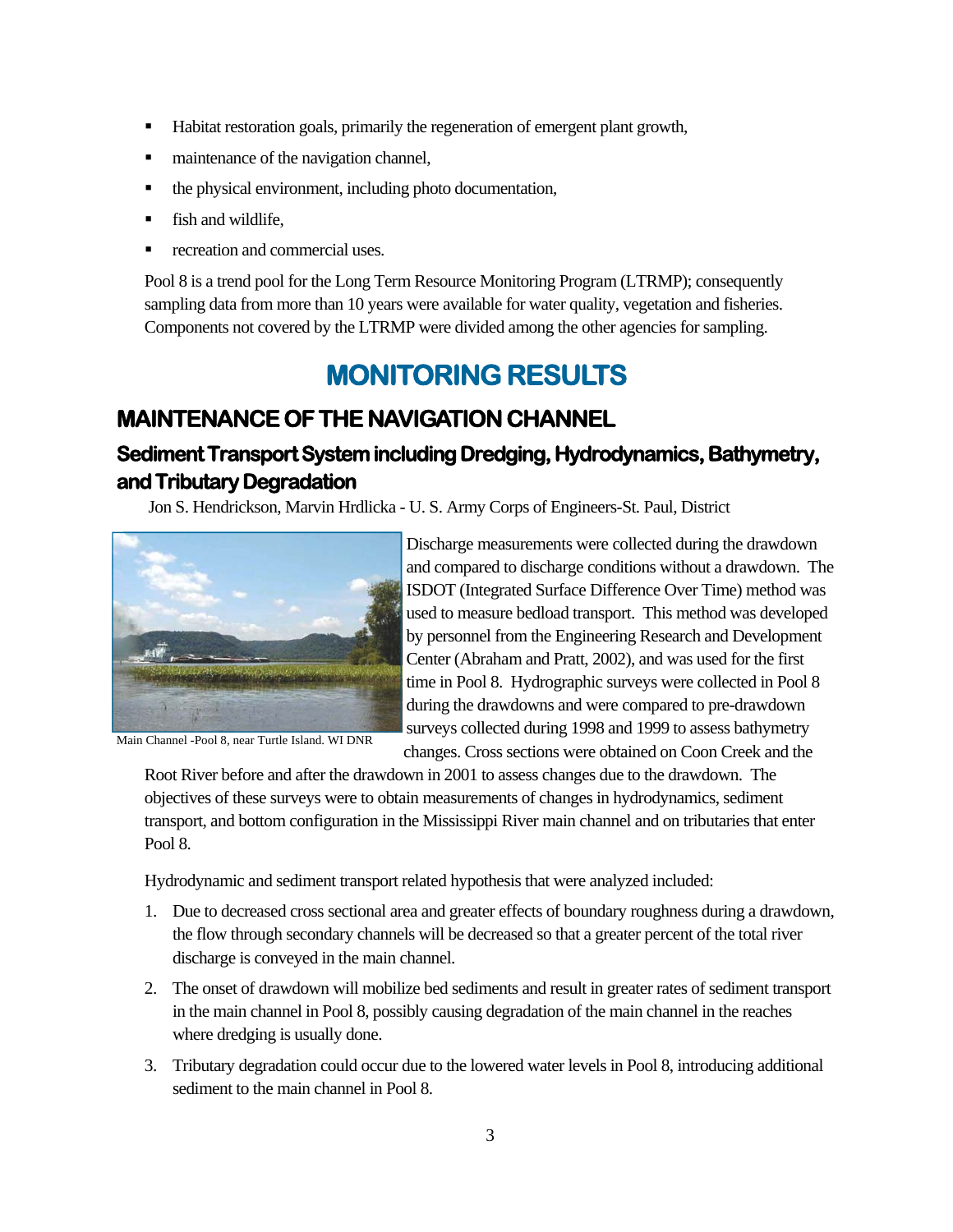- Habitat restoration goals, primarily the regeneration of emergent plant growth,
- maintenance of the navigation channel,
- the physical environment, including photo documentation,
- **fish and wildlife.**
- recreation and commercial uses.

Pool 8 is a trend pool for the Long Term Resource Monitoring Program (LTRMP); consequently sampling data from more than 10 years were available for water quality, vegetation and fisheries. Components not covered by the LTRMP were divided among the other agencies for sampling.

# **MONITORING RESULTS**

# **MAINTENANCE OF THE NAVIGATION CHANNEL**

# **Sediment Transport System including Dredging, Hydrodynamics, Bathymetry, and Tributary Degradation**

Jon S. Hendrickson, Marvin Hrdlicka - U. S. Army Corps of Engineers-St. Paul, District



Main Channel -Pool 8, near Turtle Island. WI DNR

Discharge measurements were collected during the drawdown and compared to discharge conditions without a drawdown. The ISDOT (Integrated Surface Difference Over Time) method was used to measure bedload transport. This method was developed by personnel from the Engineering Research and Development Center (Abraham and Pratt, 2002), and was used for the first time in Pool 8. Hydrographic surveys were collected in Pool 8 during the drawdowns and were compared to pre-drawdown surveys collected during 1998 and 1999 to assess bathymetry changes. Cross sections were obtained on Coon Creek and the

Root River before and after the drawdown in 2001 to assess changes due to the drawdown. The objectives of these surveys were to obtain measurements of changes in hydrodynamics, sediment transport, and bottom configuration in the Mississippi River main channel and on tributaries that enter Pool 8.

Hydrodynamic and sediment transport related hypothesis that were analyzed included:

- 1. Due to decreased cross sectional area and greater effects of boundary roughness during a drawdown, the flow through secondary channels will be decreased so that a greater percent of the total river discharge is conveyed in the main channel.
- 2. The onset of drawdown will mobilize bed sediments and result in greater rates of sediment transport in the main channel in Pool 8, possibly causing degradation of the main channel in the reaches where dredging is usually done.
- 3. Tributary degradation could occur due to the lowered water levels in Pool 8, introducing additional sediment to the main channel in Pool 8.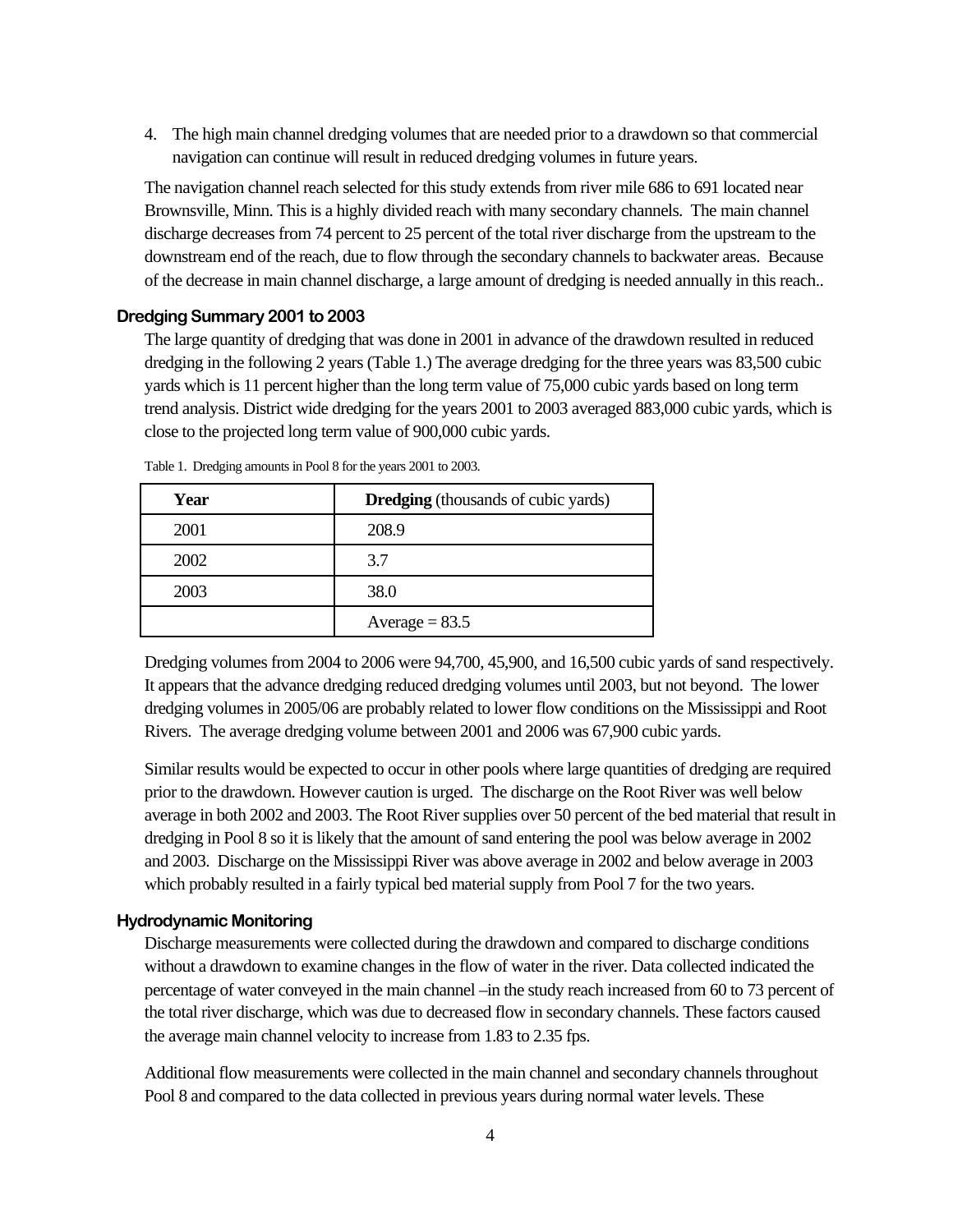4. The high main channel dredging volumes that are needed prior to a drawdown so that commercial navigation can continue will result in reduced dredging volumes in future years.

The navigation channel reach selected for this study extends from river mile 686 to 691 located near Brownsville, Minn. This is a highly divided reach with many secondary channels. The main channel discharge decreases from 74 percent to 25 percent of the total river discharge from the upstream to the downstream end of the reach, due to flow through the secondary channels to backwater areas. Because of the decrease in main channel discharge, a large amount of dredging is needed annually in this reach..

#### **Dredging Summary 2001 to 2003**

The large quantity of dredging that was done in 2001 in advance of the drawdown resulted in reduced dredging in the following 2 years (Table 1.) The average dredging for the three years was 83,500 cubic yards which is 11 percent higher than the long term value of 75,000 cubic yards based on long term trend analysis. District wide dredging for the years 2001 to 2003 averaged 883,000 cubic yards, which is close to the projected long term value of 900,000 cubic yards.

| Year | <b>Dredging</b> (thousands of cubic yards) |
|------|--------------------------------------------|
| 2001 | 208.9                                      |
| 2002 | 3.7                                        |
| 2003 | 38.0                                       |
|      | Average = $83.5$                           |

Table 1. Dredging amounts in Pool 8 for the years 2001 to 2003.

Dredging volumes from 2004 to 2006 were 94,700, 45,900, and 16,500 cubic yards of sand respectively. It appears that the advance dredging reduced dredging volumes until 2003, but not beyond. The lower dredging volumes in 2005/06 are probably related to lower flow conditions on the Mississippi and Root Rivers. The average dredging volume between 2001 and 2006 was 67,900 cubic yards.

Similar results would be expected to occur in other pools where large quantities of dredging are required prior to the drawdown. However caution is urged. The discharge on the Root River was well below average in both 2002 and 2003. The Root River supplies over 50 percent of the bed material that result in dredging in Pool 8 so it is likely that the amount of sand entering the pool was below average in 2002 and 2003. Discharge on the Mississippi River was above average in 2002 and below average in 2003 which probably resulted in a fairly typical bed material supply from Pool 7 for the two years.

#### **Hydrodynamic Monitoring**

Discharge measurements were collected during the drawdown and compared to discharge conditions without a drawdown to examine changes in the flow of water in the river. Data collected indicated the percentage of water conveyed in the main channel –in the study reach increased from 60 to 73 percent of the total river discharge, which was due to decreased flow in secondary channels. These factors caused the average main channel velocity to increase from 1.83 to 2.35 fps.

Additional flow measurements were collected in the main channel and secondary channels throughout Pool 8 and compared to the data collected in previous years during normal water levels. These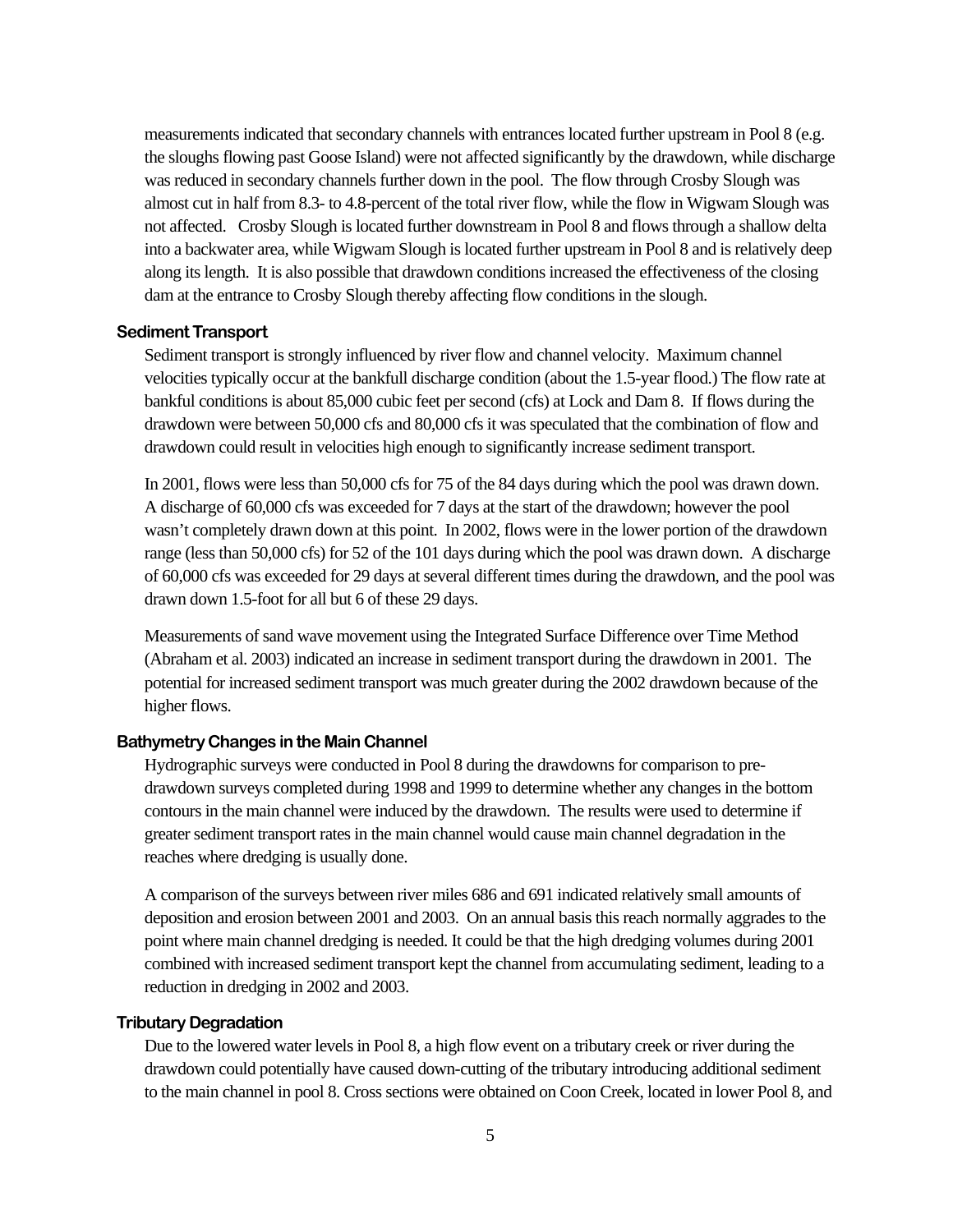measurements indicated that secondary channels with entrances located further upstream in Pool 8 (e.g. the sloughs flowing past Goose Island) were not affected significantly by the drawdown, while discharge was reduced in secondary channels further down in the pool. The flow through Crosby Slough was almost cut in half from 8.3- to 4.8-percent of the total river flow, while the flow in Wigwam Slough was not affected. Crosby Slough is located further downstream in Pool 8 and flows through a shallow delta into a backwater area, while Wigwam Slough is located further upstream in Pool 8 and is relatively deep along its length. It is also possible that drawdown conditions increased the effectiveness of the closing dam at the entrance to Crosby Slough thereby affecting flow conditions in the slough.

#### **Sediment Transport**

Sediment transport is strongly influenced by river flow and channel velocity. Maximum channel velocities typically occur at the bankfull discharge condition (about the 1.5-year flood.) The flow rate at bankful conditions is about 85,000 cubic feet per second (cfs) at Lock and Dam 8. If flows during the drawdown were between 50,000 cfs and 80,000 cfs it was speculated that the combination of flow and drawdown could result in velocities high enough to significantly increase sediment transport.

In 2001, flows were less than 50,000 cfs for 75 of the 84 days during which the pool was drawn down. A discharge of 60,000 cfs was exceeded for 7 days at the start of the drawdown; however the pool wasn't completely drawn down at this point. In 2002, flows were in the lower portion of the drawdown range (less than 50,000 cfs) for 52 of the 101 days during which the pool was drawn down. A discharge of 60,000 cfs was exceeded for 29 days at several different times during the drawdown, and the pool was drawn down 1.5-foot for all but 6 of these 29 days.

Measurements of sand wave movement using the Integrated Surface Difference over Time Method (Abraham et al. 2003) indicated an increase in sediment transport during the drawdown in 2001. The potential for increased sediment transport was much greater during the 2002 drawdown because of the higher flows.

#### **Bathymetry Changes in the Main Channel**

Hydrographic surveys were conducted in Pool 8 during the drawdowns for comparison to predrawdown surveys completed during 1998 and 1999 to determine whether any changes in the bottom contours in the main channel were induced by the drawdown. The results were used to determine if greater sediment transport rates in the main channel would cause main channel degradation in the reaches where dredging is usually done.

A comparison of the surveys between river miles 686 and 691 indicated relatively small amounts of deposition and erosion between 2001 and 2003. On an annual basis this reach normally aggrades to the point where main channel dredging is needed. It could be that the high dredging volumes during 2001 combined with increased sediment transport kept the channel from accumulating sediment, leading to a reduction in dredging in 2002 and 2003.

#### **Tributary Degradation**

Due to the lowered water levels in Pool 8, a high flow event on a tributary creek or river during the drawdown could potentially have caused down-cutting of the tributary introducing additional sediment to the main channel in pool 8. Cross sections were obtained on Coon Creek, located in lower Pool 8, and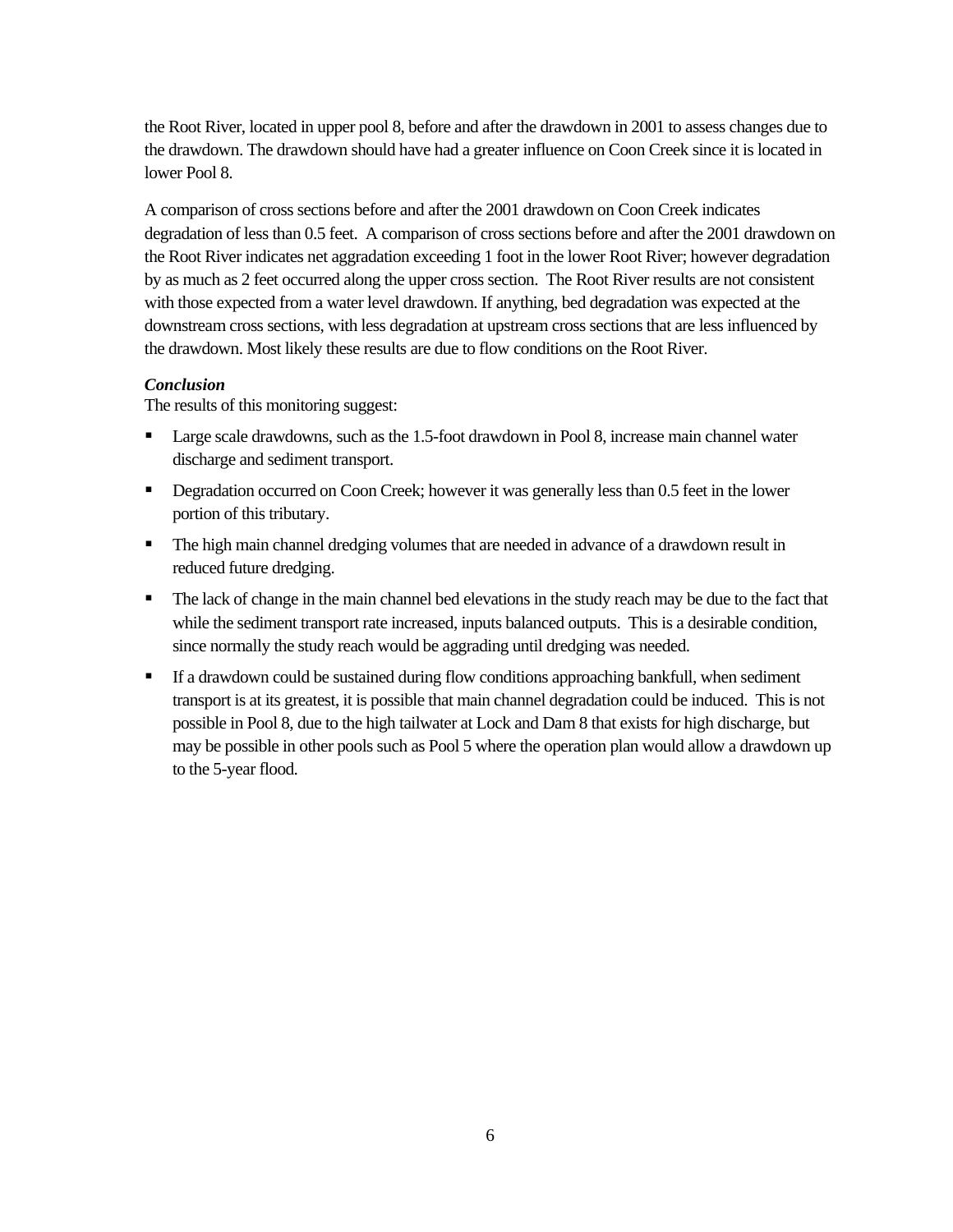the Root River, located in upper pool 8, before and after the drawdown in 2001 to assess changes due to the drawdown. The drawdown should have had a greater influence on Coon Creek since it is located in lower Pool 8.

A comparison of cross sections before and after the 2001 drawdown on Coon Creek indicates degradation of less than 0.5 feet. A comparison of cross sections before and after the 2001 drawdown on the Root River indicates net aggradation exceeding 1 foot in the lower Root River; however degradation by as much as 2 feet occurred along the upper cross section. The Root River results are not consistent with those expected from a water level drawdown. If anything, bed degradation was expected at the downstream cross sections, with less degradation at upstream cross sections that are less influenced by the drawdown. Most likely these results are due to flow conditions on the Root River.

#### *Conclusion*

The results of this monitoring suggest:

- **Large scale drawdowns, such as the 1.5-foot drawdown in Pool 8, increase main channel water** discharge and sediment transport.
- Degradation occurred on Coon Creek; however it was generally less than 0.5 feet in the lower portion of this tributary.
- The high main channel dredging volumes that are needed in advance of a drawdown result in reduced future dredging.
- The lack of change in the main channel bed elevations in the study reach may be due to the fact that while the sediment transport rate increased, inputs balanced outputs. This is a desirable condition, since normally the study reach would be aggrading until dredging was needed.
- If a drawdown could be sustained during flow conditions approaching bankfull, when sediment transport is at its greatest, it is possible that main channel degradation could be induced. This is not possible in Pool 8, due to the high tailwater at Lock and Dam 8 that exists for high discharge, but may be possible in other pools such as Pool 5 where the operation plan would allow a drawdown up to the 5-year flood.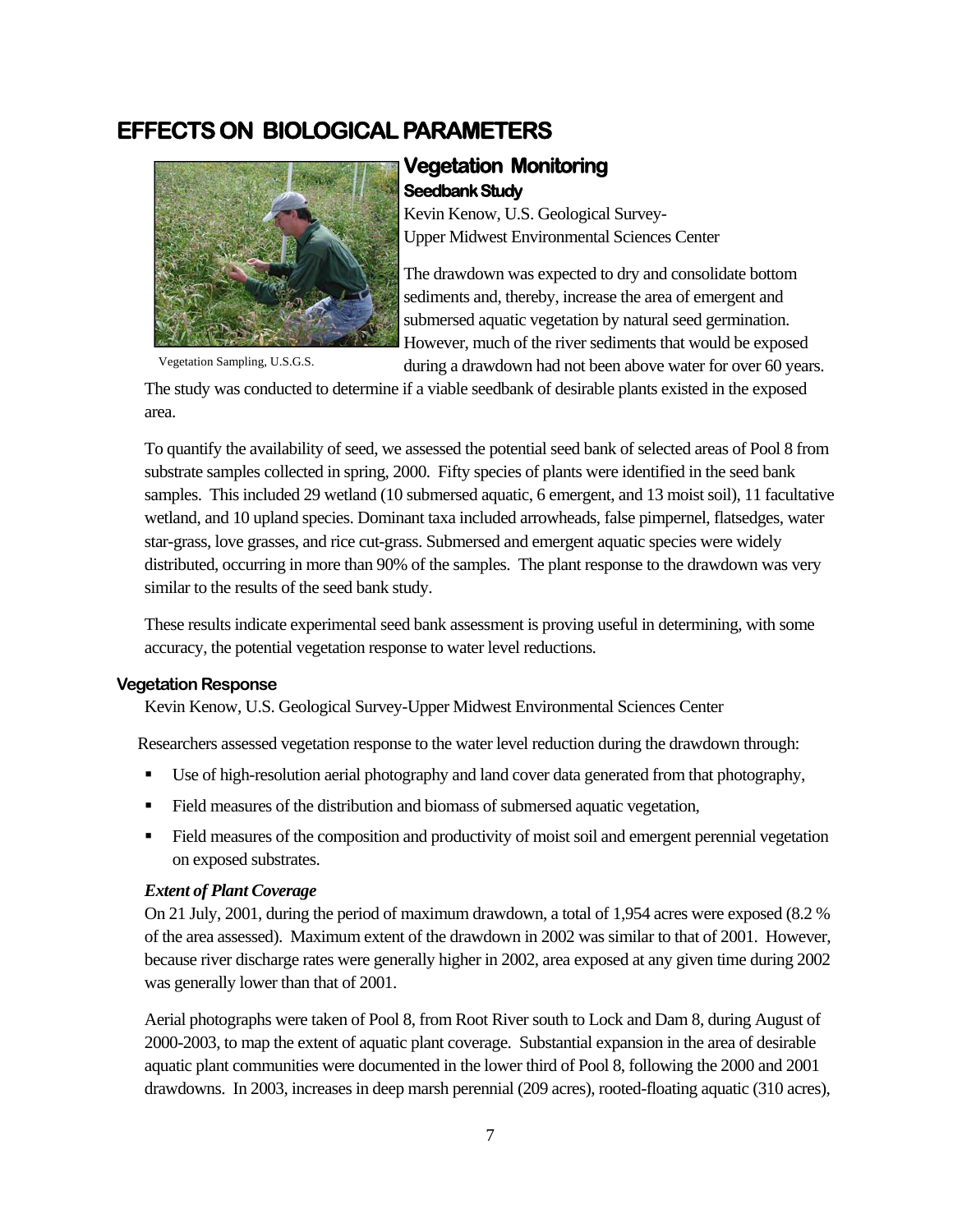# **EFFECTS ON BIOLOGICAL PARAMETERS**



#### **Vegetation Monitoring Seedbank Study**

Kevin Kenow, U.S. Geological Survey-Upper Midwest Environmental Sciences Center

The drawdown was expected to dry and consolidate bottom sediments and, thereby, increase the area of emergent and submersed aquatic vegetation by natural seed germination. However, much of the river sediments that would be exposed during a drawdown had not been above water for over 60 years.

Vegetation Sampling, U.S.G.S.

The study was conducted to determine if a viable seedbank of desirable plants existed in the exposed area.

To quantify the availability of seed, we assessed the potential seed bank of selected areas of Pool 8 from substrate samples collected in spring, 2000. Fifty species of plants were identified in the seed bank samples. This included 29 wetland (10 submersed aquatic, 6 emergent, and 13 moist soil), 11 facultative wetland, and 10 upland species. Dominant taxa included arrowheads, false pimpernel, flatsedges, water star-grass, love grasses, and rice cut-grass. Submersed and emergent aquatic species were widely distributed, occurring in more than 90% of the samples. The plant response to the drawdown was very similar to the results of the seed bank study.

These results indicate experimental seed bank assessment is proving useful in determining, with some accuracy, the potential vegetation response to water level reductions.

#### **Vegetation Response**

Kevin Kenow, U.S. Geological Survey-Upper Midwest Environmental Sciences Center

Researchers assessed vegetation response to the water level reduction during the drawdown through:

- Use of high-resolution aerial photography and land cover data generated from that photography,
- Field measures of the distribution and biomass of submersed aquatic vegetation,
- Field measures of the composition and productivity of moist soil and emergent perennial vegetation on exposed substrates.

#### *Extent of Plant Coverage*

On 21 July, 2001, during the period of maximum drawdown, a total of 1,954 acres were exposed (8.2 % of the area assessed). Maximum extent of the drawdown in 2002 was similar to that of 2001. However, because river discharge rates were generally higher in 2002, area exposed at any given time during 2002 was generally lower than that of 2001.

Aerial photographs were taken of Pool 8, from Root River south to Lock and Dam 8, during August of 2000-2003, to map the extent of aquatic plant coverage. Substantial expansion in the area of desirable aquatic plant communities were documented in the lower third of Pool 8, following the 2000 and 2001 drawdowns. In 2003, increases in deep marsh perennial (209 acres), rooted-floating aquatic (310 acres),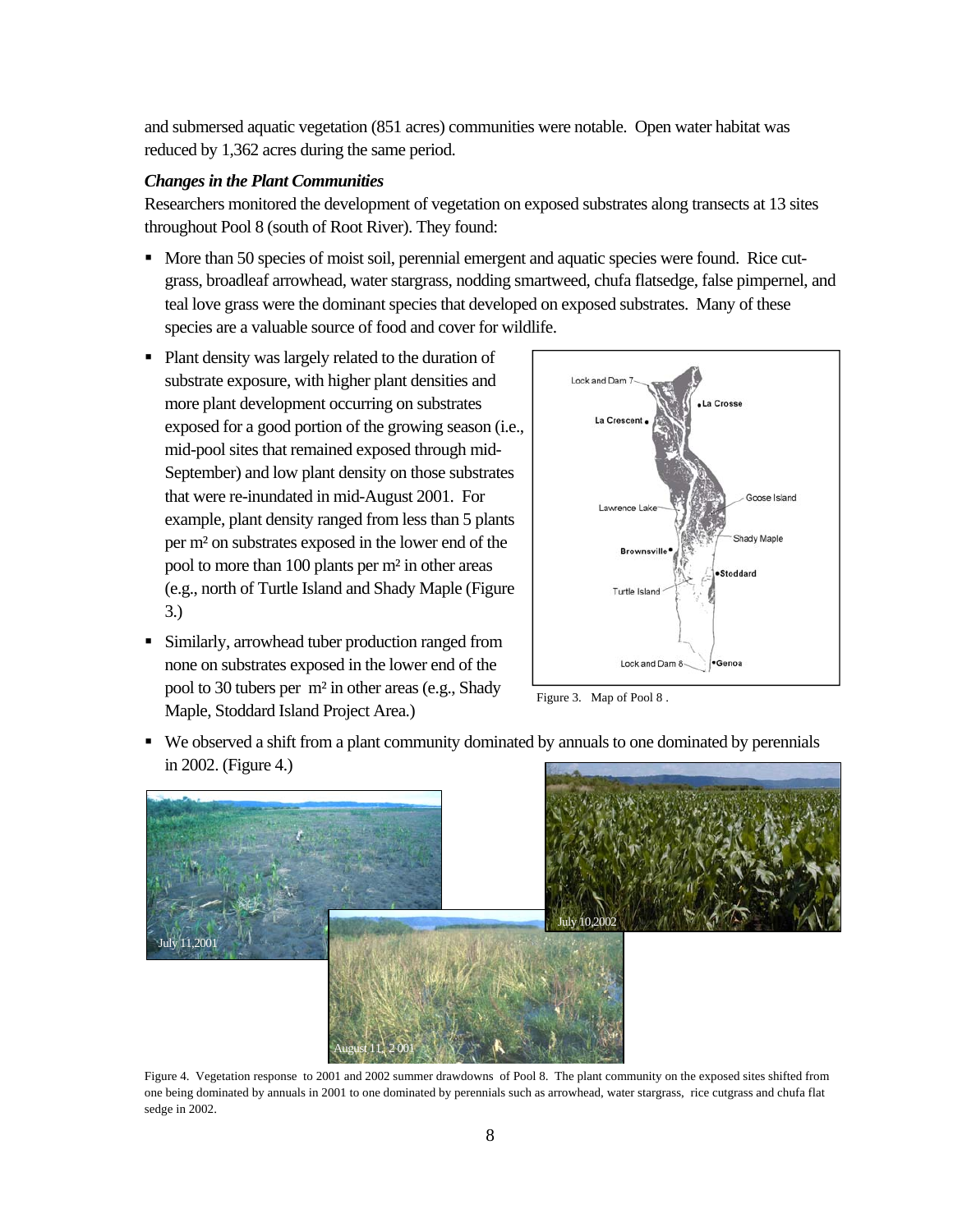and submersed aquatic vegetation (851 acres) communities were notable. Open water habitat was reduced by 1,362 acres during the same period.

#### *Changes in the Plant Communities*

Researchers monitored the development of vegetation on exposed substrates along transects at 13 sites throughout Pool 8 (south of Root River). They found:

- $\blacksquare$  More than 50 species of moist soil, perennial emergent and aquatic species were found. Rice cutgrass, broadleaf arrowhead, water stargrass, nodding smartweed, chufa flatsedge, false pimpernel, and teal love grass were the dominant species that developed on exposed substrates. Many of these species are a valuable source of food and cover for wildlife.
- Plant density was largely related to the duration of substrate exposure, with higher plant densities and more plant development occurring on substrates exposed for a good portion of the growing season (i.e., mid-pool sites that remained exposed through mid-September) and low plant density on those substrates that were re-inundated in mid-August 2001. For example, plant density ranged from less than 5 plants per m² on substrates exposed in the lower end of the pool to more than 100 plants per m² in other areas (e.g., north of Turtle Island and Shady Maple (Figure 3.)
- Similarly, arrowhead tuber production ranged from none on substrates exposed in the lower end of the pool to 30 tubers per m² in other areas (e.g., Shady Maple, Stoddard Island Project Area.)



Figure 3. Map of Pool 8 .

 We observed a shift from a plant community dominated by annuals to one dominated by perennials in 2002. (Figure 4.)



Figure 4. Vegetation response to 2001 and 2002 summer drawdowns of Pool 8. The plant community on the exposed sites shifted from one being dominated by annuals in 2001 to one dominated by perennials such as arrowhead, water stargrass, rice cutgrass and chufa flat sedge in 2002.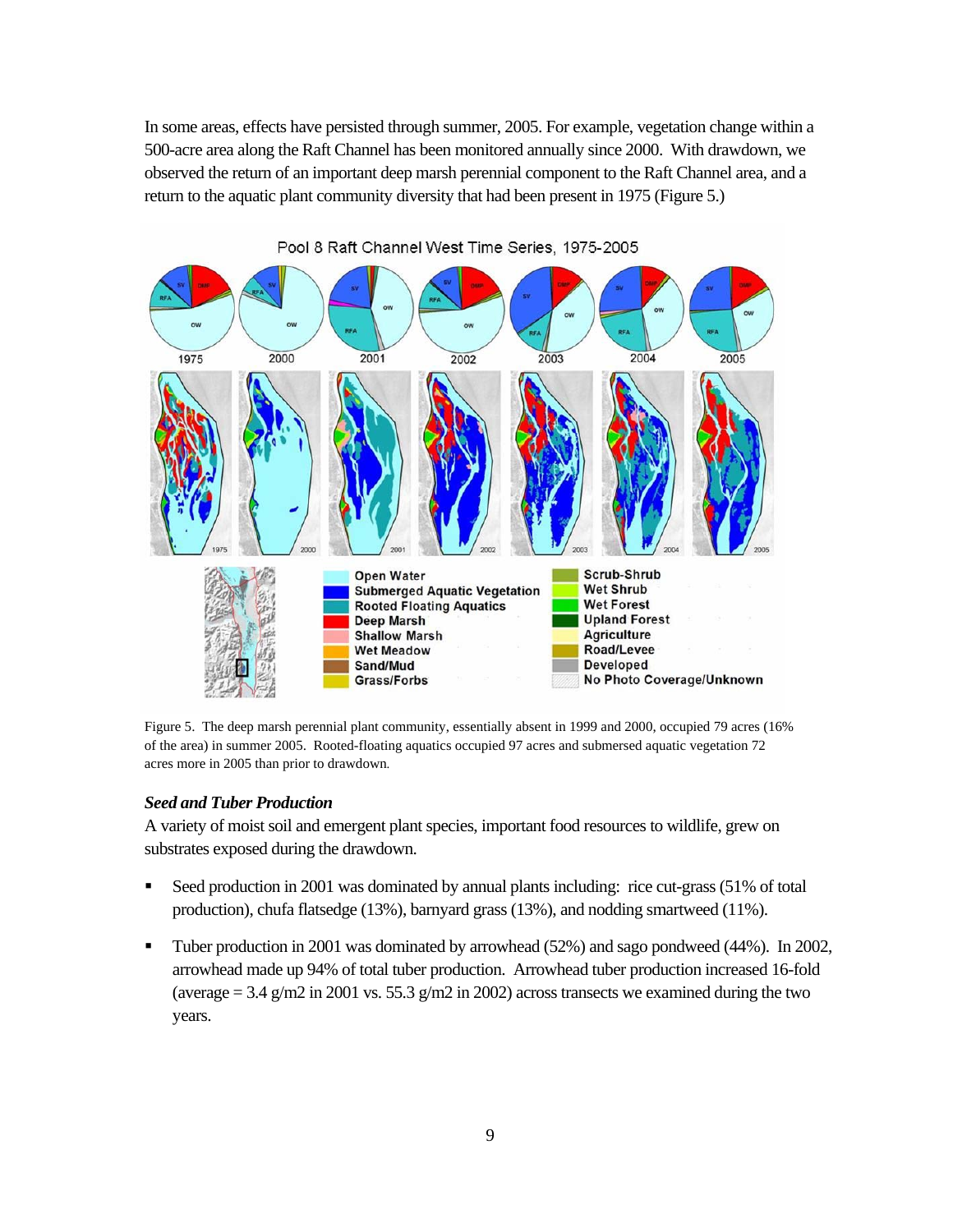In some areas, effects have persisted through summer, 2005. For example, vegetation change within a 500-acre area along the Raft Channel has been monitored annually since 2000. With drawdown, we observed the return of an important deep marsh perennial component to the Raft Channel area, and a return to the aquatic plant community diversity that had been present in 1975 (Figure 5.)



Pool 8 Raft Channel West Time Series, 1975-2005

Figure 5. The deep marsh perennial plant community, essentially absent in 1999 and 2000, occupied 79 acres (16% of the area) in summer 2005. Rooted-floating aquatics occupied 97 acres and submersed aquatic vegetation 72 acres more in 2005 than prior to drawdown.

#### *Seed and Tuber Production*

A variety of moist soil and emergent plant species, important food resources to wildlife, grew on substrates exposed during the drawdown.

- Seed production in 2001 was dominated by annual plants including: rice cut-grass (51% of total production), chufa flatsedge (13%), barnyard grass (13%), and nodding smartweed (11%).
- Tuber production in 2001 was dominated by arrowhead (52%) and sago pondweed (44%). In 2002, arrowhead made up 94% of total tuber production. Arrowhead tuber production increased 16-fold (average  $= 3.4$  g/m2 in 2001 vs. 55.3 g/m2 in 2002) across transects we examined during the two years.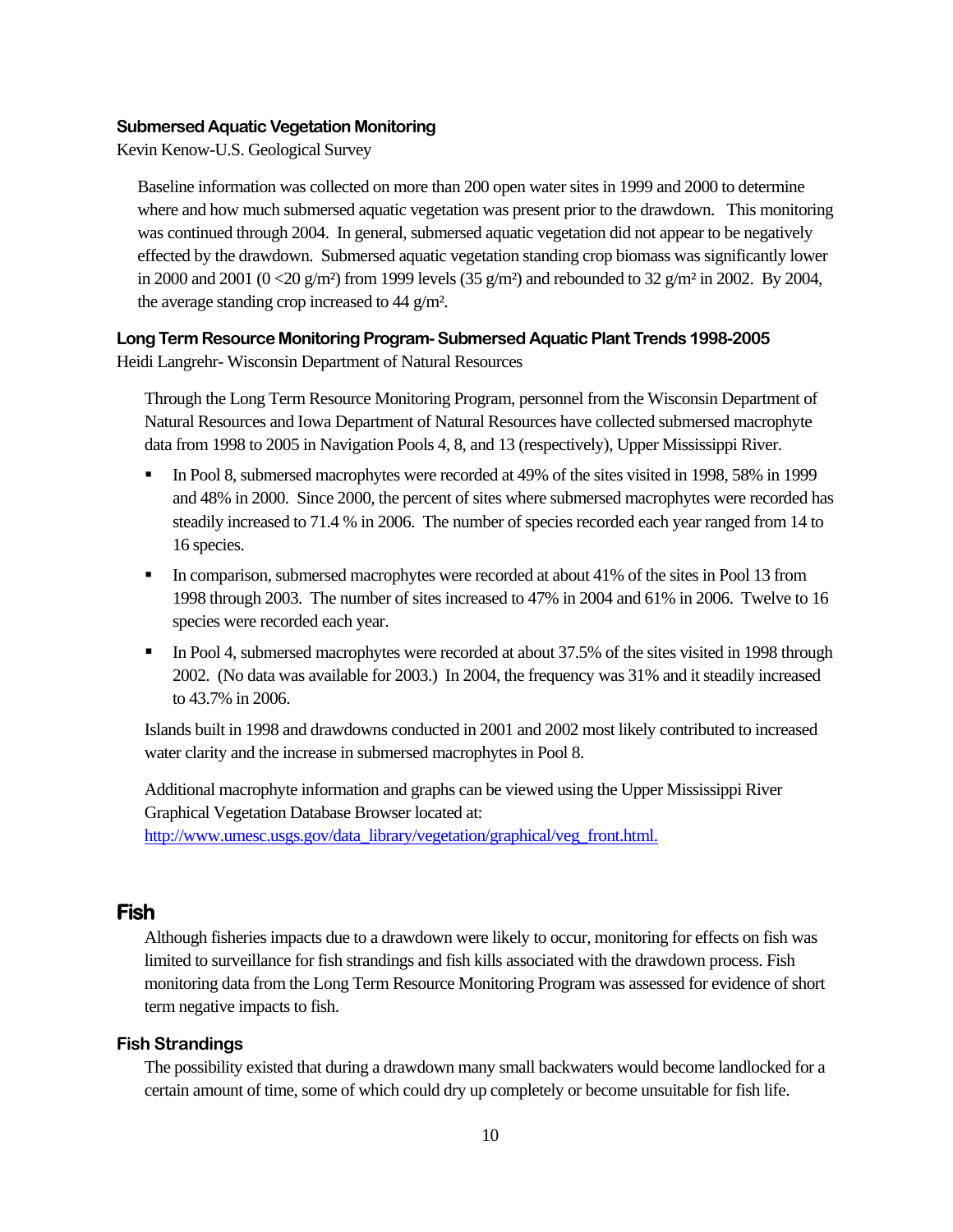#### **Submersed Aquatic Vegetation Monitoring**

Kevin Kenow-U.S. Geological Survey

Baseline information was collected on more than 200 open water sites in 1999 and 2000 to determine where and how much submersed aquatic vegetation was present prior to the drawdown. This monitoring was continued through 2004. In general, submersed aquatic vegetation did not appear to be negatively effected by the drawdown. Submersed aquatic vegetation standing crop biomass was significantly lower in 2000 and 2001 (0 < 20 g/m<sup>2</sup>) from 1999 levels (35 g/m<sup>2</sup>) and rebounded to 32 g/m<sup>2</sup> in 2002. By 2004, the average standing crop increased to 44 g/m².

#### **Long Term Resource Monitoring Program- Submersed Aquatic Plant Trends 1998-2005**

Heidi Langrehr- Wisconsin Department of Natural Resources

Through the Long Term Resource Monitoring Program, personnel from the Wisconsin Department of Natural Resources and Iowa Department of Natural Resources have collected submersed macrophyte data from 1998 to 2005 in Navigation Pools 4, 8, and 13 (respectively), Upper Mississippi River.

- In Pool 8, submersed macrophytes were recorded at 49% of the sites visited in 1998, 58% in 1999 and 48% in 2000. Since 2000, the percent of sites where submersed macrophytes were recorded has steadily increased to 71.4 % in 2006. The number of species recorded each year ranged from 14 to 16 species.
- In comparison, submersed macrophytes were recorded at about 41% of the sites in Pool 13 from 1998 through 2003. The number of sites increased to 47% in 2004 and 61% in 2006. Twelve to 16 species were recorded each year.
- In Pool 4, submersed macrophytes were recorded at about 37.5% of the sites visited in 1998 through 2002. (No data was available for 2003.) In 2004, the frequency was 31% and it steadily increased to 43.7% in 2006.

Islands built in 1998 and drawdowns conducted in 2001 and 2002 most likely contributed to increased water clarity and the increase in submersed macrophytes in Pool 8.

Additional macrophyte information and graphs can be viewed using the Upper Mississippi River Graphical Vegetation Database Browser located at: http://www.umesc.usgs.gov/data\_library/vegetation/graphical/veg\_front.html.

#### **Fish**

Although fisheries impacts due to a drawdown were likely to occur, monitoring for effects on fish was limited to surveillance for fish strandings and fish kills associated with the drawdown process. Fish monitoring data from the Long Term Resource Monitoring Program was assessed for evidence of short term negative impacts to fish.

#### **Fish Strandings**

The possibility existed that during a drawdown many small backwaters would become landlocked for a certain amount of time, some of which could dry up completely or become unsuitable for fish life.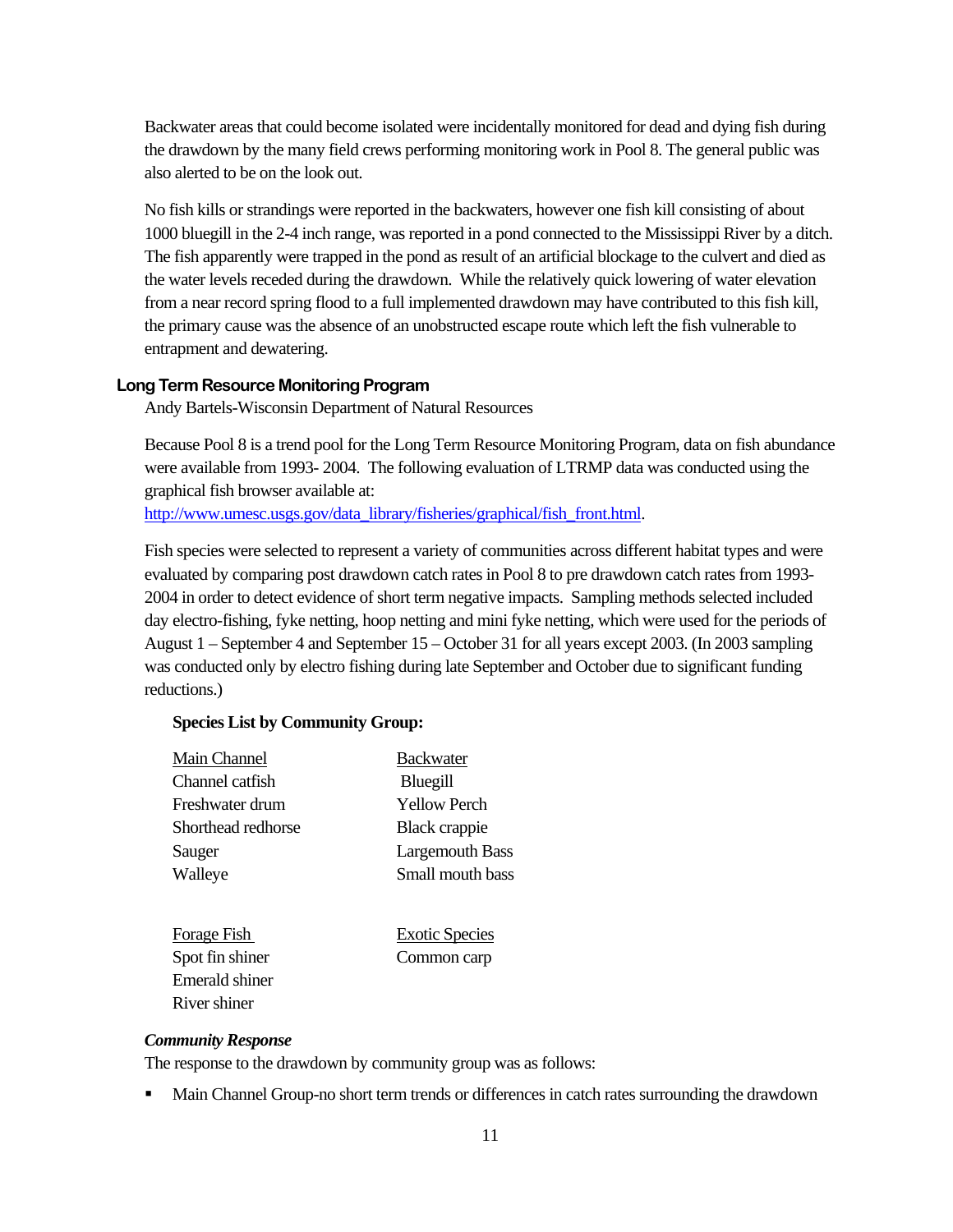Backwater areas that could become isolated were incidentally monitored for dead and dying fish during the drawdown by the many field crews performing monitoring work in Pool 8. The general public was also alerted to be on the look out.

No fish kills or strandings were reported in the backwaters, however one fish kill consisting of about 1000 bluegill in the 2-4 inch range, was reported in a pond connected to the Mississippi River by a ditch. The fish apparently were trapped in the pond as result of an artificial blockage to the culvert and died as the water levels receded during the drawdown. While the relatively quick lowering of water elevation from a near record spring flood to a full implemented drawdown may have contributed to this fish kill, the primary cause was the absence of an unobstructed escape route which left the fish vulnerable to entrapment and dewatering.

#### **Long Term Resource Monitoring Program**

Andy Bartels-Wisconsin Department of Natural Resources

Because Pool 8 is a trend pool for the Long Term Resource Monitoring Program, data on fish abundance were available from 1993- 2004. The following evaluation of LTRMP data was conducted using the graphical fish browser available at:

http://www.umesc.usgs.gov/data\_library/fisheries/graphical/fish\_front.html.

Fish species were selected to represent a variety of communities across different habitat types and were evaluated by comparing post drawdown catch rates in Pool 8 to pre drawdown catch rates from 1993- 2004 in order to detect evidence of short term negative impacts. Sampling methods selected included day electro-fishing, fyke netting, hoop netting and mini fyke netting, which were used for the periods of August 1 – September 4 and September 15 – October 31 for all years except 2003. (In 2003 sampling was conducted only by electro fishing during late September and October due to significant funding reductions.)

#### **Species List by Community Group:**

| Main Channel       | <b>Backwater</b>       |
|--------------------|------------------------|
| Channel catfish    | Bluegill               |
| Freshwater drum    | <b>Yellow Perch</b>    |
| Shorthead redhorse | <b>Black crappie</b>   |
| Sauger             | <b>Largemouth Bass</b> |
| Walleye            | Small mouth bass       |
|                    |                        |
| Forage Fish        | <b>Exotic Species</b>  |
| Spot fin shiner    | Common carp            |

#### *Community Response*

 Emerald shiner River shiner

The response to the drawdown by community group was as follows:

Main Channel Group-no short term trends or differences in catch rates surrounding the drawdown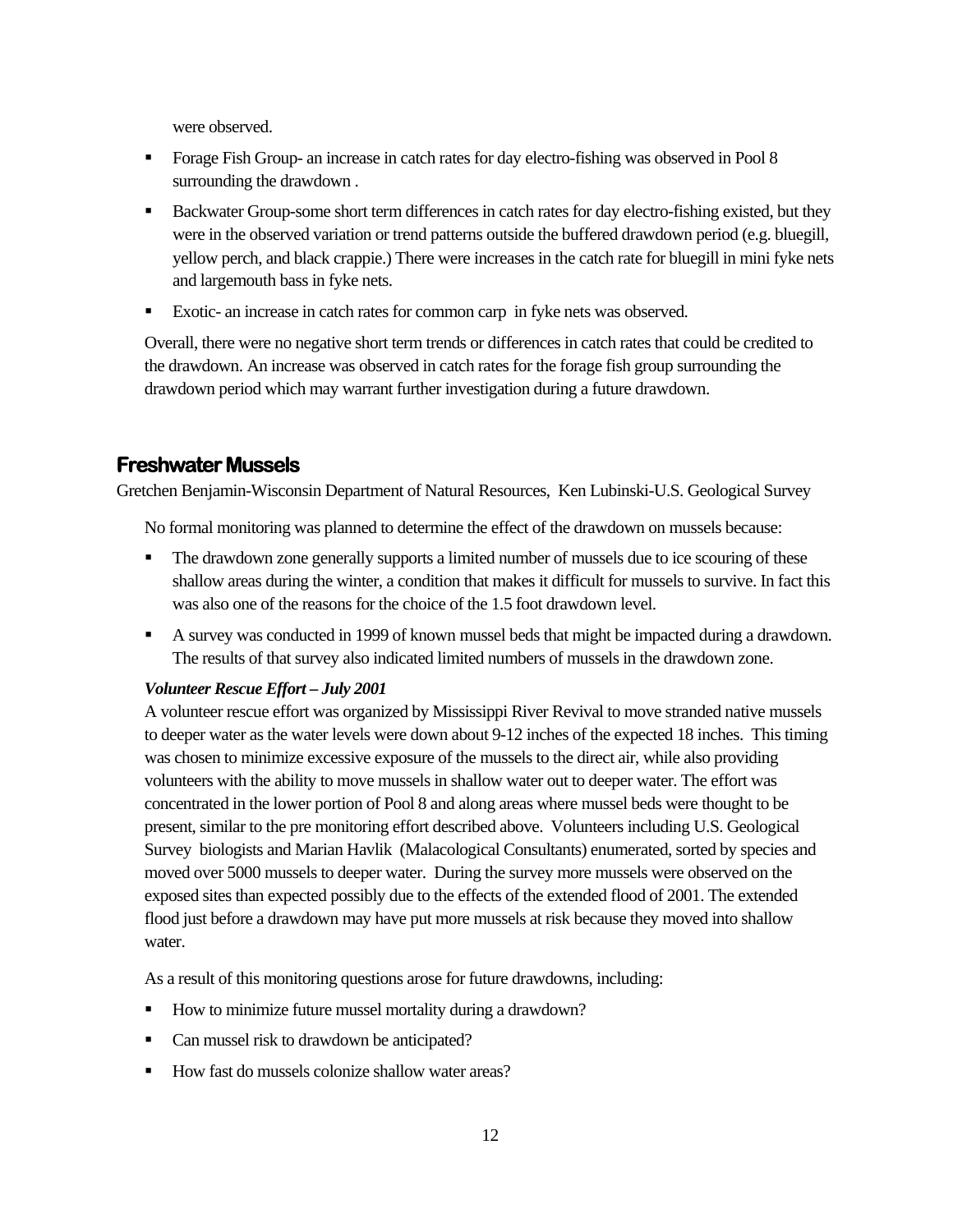were observed.

- Forage Fish Group- an increase in catch rates for day electro-fishing was observed in Pool 8 surrounding the drawdown .
- **Backwater Group-some short term differences in catch rates for day electro-fishing existed, but they** were in the observed variation or trend patterns outside the buffered drawdown period (e.g. bluegill, yellow perch, and black crappie.) There were increases in the catch rate for bluegill in mini fyke nets and largemouth bass in fyke nets.
- Exotic- an increase in catch rates for common carp in fyke nets was observed.

Overall, there were no negative short term trends or differences in catch rates that could be credited to the drawdown. An increase was observed in catch rates for the forage fish group surrounding the drawdown period which may warrant further investigation during a future drawdown.

#### **Freshwater Mussels**

Gretchen Benjamin-Wisconsin Department of Natural Resources, Ken Lubinski-U.S. Geological Survey

No formal monitoring was planned to determine the effect of the drawdown on mussels because:

- The drawdown zone generally supports a limited number of mussels due to ice scouring of these shallow areas during the winter, a condition that makes it difficult for mussels to survive. In fact this was also one of the reasons for the choice of the 1.5 foot drawdown level.
- A survey was conducted in 1999 of known mussel beds that might be impacted during a drawdown. The results of that survey also indicated limited numbers of mussels in the drawdown zone.

#### *Volunteer Rescue Effort – July 2001*

A volunteer rescue effort was organized by Mississippi River Revival to move stranded native mussels to deeper water as the water levels were down about 9-12 inches of the expected 18 inches. This timing was chosen to minimize excessive exposure of the mussels to the direct air, while also providing volunteers with the ability to move mussels in shallow water out to deeper water. The effort was concentrated in the lower portion of Pool 8 and along areas where mussel beds were thought to be present, similar to the pre monitoring effort described above. Volunteers including U.S. Geological Survey biologists and Marian Havlik (Malacological Consultants) enumerated, sorted by species and moved over 5000 mussels to deeper water. During the survey more mussels were observed on the exposed sites than expected possibly due to the effects of the extended flood of 2001. The extended flood just before a drawdown may have put more mussels at risk because they moved into shallow water.

As a result of this monitoring questions arose for future drawdowns, including:

- How to minimize future mussel mortality during a drawdown?
- Can mussel risk to drawdown be anticipated?
- How fast do mussels colonize shallow water areas?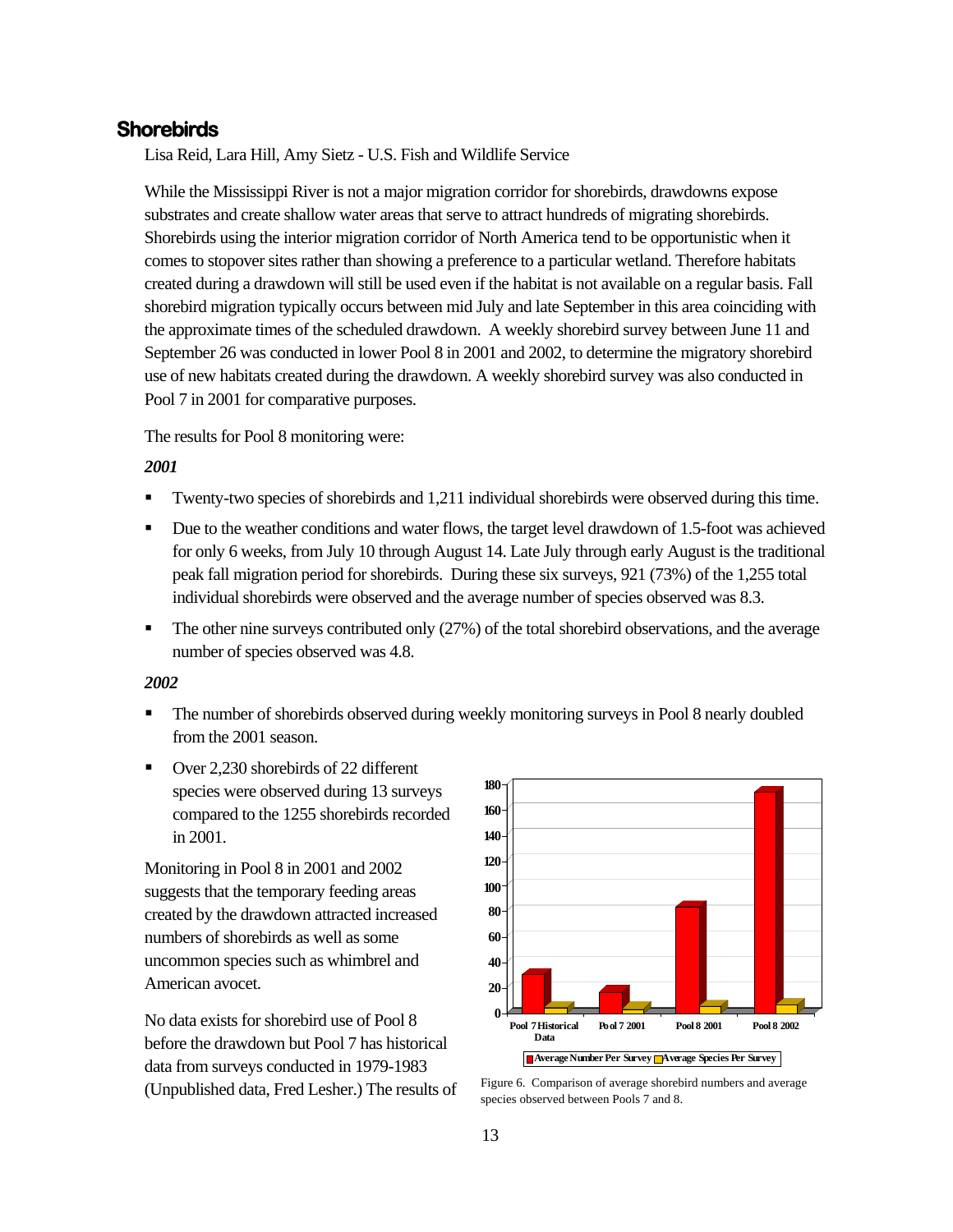#### **Shorebirds**

Lisa Reid, Lara Hill, Amy Sietz - U.S. Fish and Wildlife Service

While the Mississippi River is not a major migration corridor for shorebirds, drawdowns expose substrates and create shallow water areas that serve to attract hundreds of migrating shorebirds. Shorebirds using the interior migration corridor of North America tend to be opportunistic when it comes to stopover sites rather than showing a preference to a particular wetland. Therefore habitats created during a drawdown will still be used even if the habitat is not available on a regular basis. Fall shorebird migration typically occurs between mid July and late September in this area coinciding with the approximate times of the scheduled drawdown. A weekly shorebird survey between June 11 and September 26 was conducted in lower Pool 8 in 2001 and 2002, to determine the migratory shorebird use of new habitats created during the drawdown. A weekly shorebird survey was also conducted in Pool 7 in 2001 for comparative purposes.

The results for Pool 8 monitoring were:

#### *2001*

- Twenty-two species of shorebirds and 1,211 individual shorebirds were observed during this time.
- Due to the weather conditions and water flows, the target level drawdown of 1.5-foot was achieved for only 6 weeks, from July 10 through August 14. Late July through early August is the traditional peak fall migration period for shorebirds. During these six surveys, 921 (73%) of the 1,255 total individual shorebirds were observed and the average number of species observed was 8.3.
- The other nine surveys contributed only (27%) of the total shorebird observations, and the average number of species observed was 4.8.

#### *2002*

- **The number of shorebirds observed during weekly monitoring surveys in Pool 8 nearly doubled** from the 2001 season.
- Over 2,230 shorebirds of 22 different species were observed during 13 surveys compared to the 1255 shorebirds recorded in 2001.

Monitoring in Pool 8 in 2001 and 2002 suggests that the temporary feeding areas created by the drawdown attracted increased numbers of shorebirds as well as some uncommon species such as whimbrel and American avocet.

No data exists for shorebird use of Pool 8 before the drawdown but Pool 7 has historical data from surveys conducted in 1979-1983 (Unpublished data, Fred Lesher.) The results of



Figure 6. Comparison of average shorebird numbers and average species observed between Pools 7 and 8.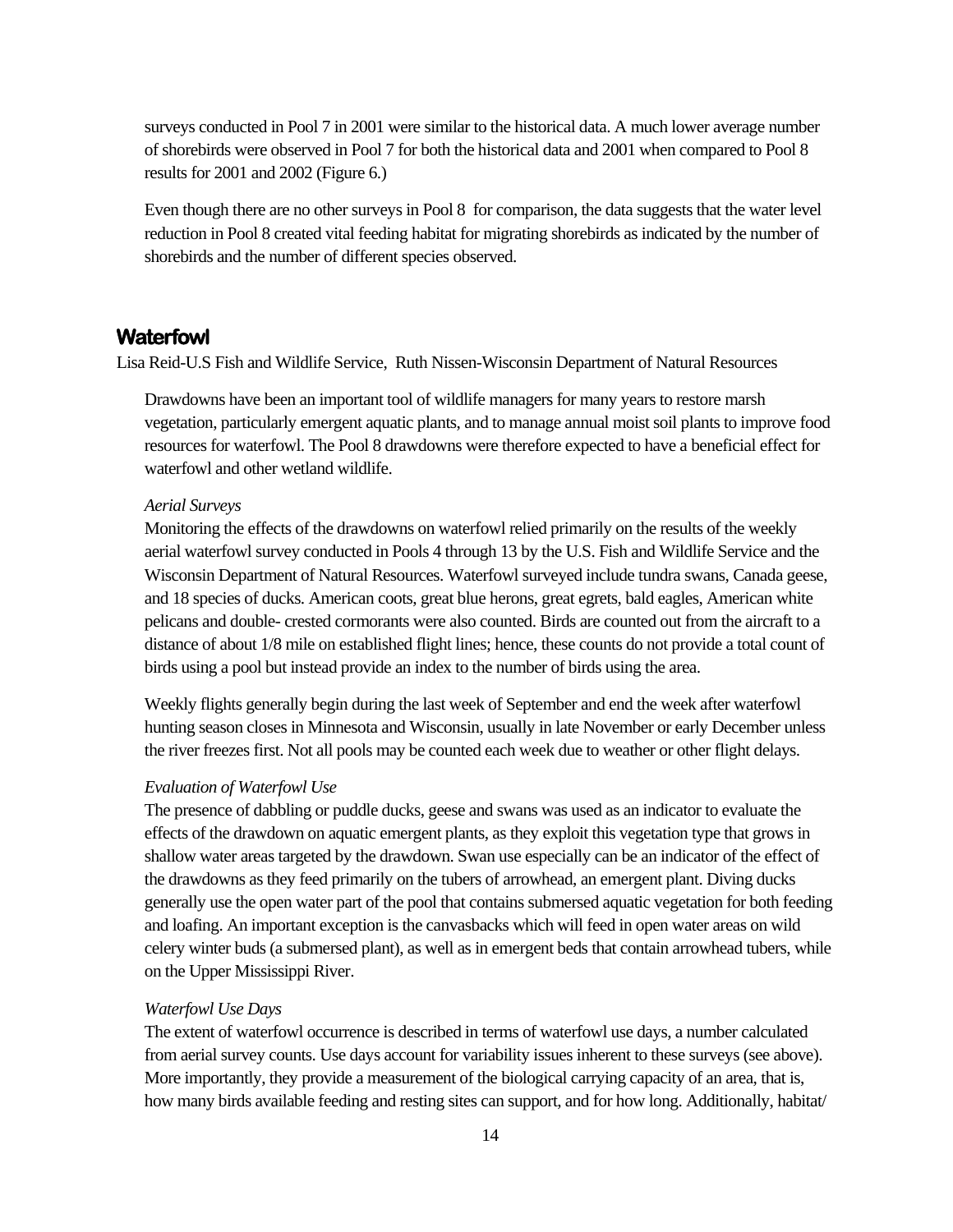surveys conducted in Pool 7 in 2001 were similar to the historical data. A much lower average number of shorebirds were observed in Pool 7 for both the historical data and 2001 when compared to Pool 8 results for 2001 and 2002 (Figure 6.)

Even though there are no other surveys in Pool 8 for comparison, the data suggests that the water level reduction in Pool 8 created vital feeding habitat for migrating shorebirds as indicated by the number of shorebirds and the number of different species observed.

#### **Waterfowl**

Lisa Reid-U.S Fish and Wildlife Service, Ruth Nissen-Wisconsin Department of Natural Resources

Drawdowns have been an important tool of wildlife managers for many years to restore marsh vegetation, particularly emergent aquatic plants, and to manage annual moist soil plants to improve food resources for waterfowl. The Pool 8 drawdowns were therefore expected to have a beneficial effect for waterfowl and other wetland wildlife.

#### *Aerial Surveys*

Monitoring the effects of the drawdowns on waterfowl relied primarily on the results of the weekly aerial waterfowl survey conducted in Pools 4 through 13 by the U.S. Fish and Wildlife Service and the Wisconsin Department of Natural Resources. Waterfowl surveyed include tundra swans, Canada geese, and 18 species of ducks. American coots, great blue herons, great egrets, bald eagles, American white pelicans and double- crested cormorants were also counted. Birds are counted out from the aircraft to a distance of about 1/8 mile on established flight lines; hence, these counts do not provide a total count of birds using a pool but instead provide an index to the number of birds using the area.

Weekly flights generally begin during the last week of September and end the week after waterfowl hunting season closes in Minnesota and Wisconsin, usually in late November or early December unless the river freezes first. Not all pools may be counted each week due to weather or other flight delays.

#### *Evaluation of Waterfowl Use*

The presence of dabbling or puddle ducks, geese and swans was used as an indicator to evaluate the effects of the drawdown on aquatic emergent plants, as they exploit this vegetation type that grows in shallow water areas targeted by the drawdown. Swan use especially can be an indicator of the effect of the drawdowns as they feed primarily on the tubers of arrowhead, an emergent plant. Diving ducks generally use the open water part of the pool that contains submersed aquatic vegetation for both feeding and loafing. An important exception is the canvasbacks which will feed in open water areas on wild celery winter buds (a submersed plant), as well as in emergent beds that contain arrowhead tubers, while on the Upper Mississippi River.

#### *Waterfowl Use Days*

The extent of waterfowl occurrence is described in terms of waterfowl use days, a number calculated from aerial survey counts. Use days account for variability issues inherent to these surveys (see above). More importantly, they provide a measurement of the biological carrying capacity of an area, that is, how many birds available feeding and resting sites can support, and for how long. Additionally, habitat/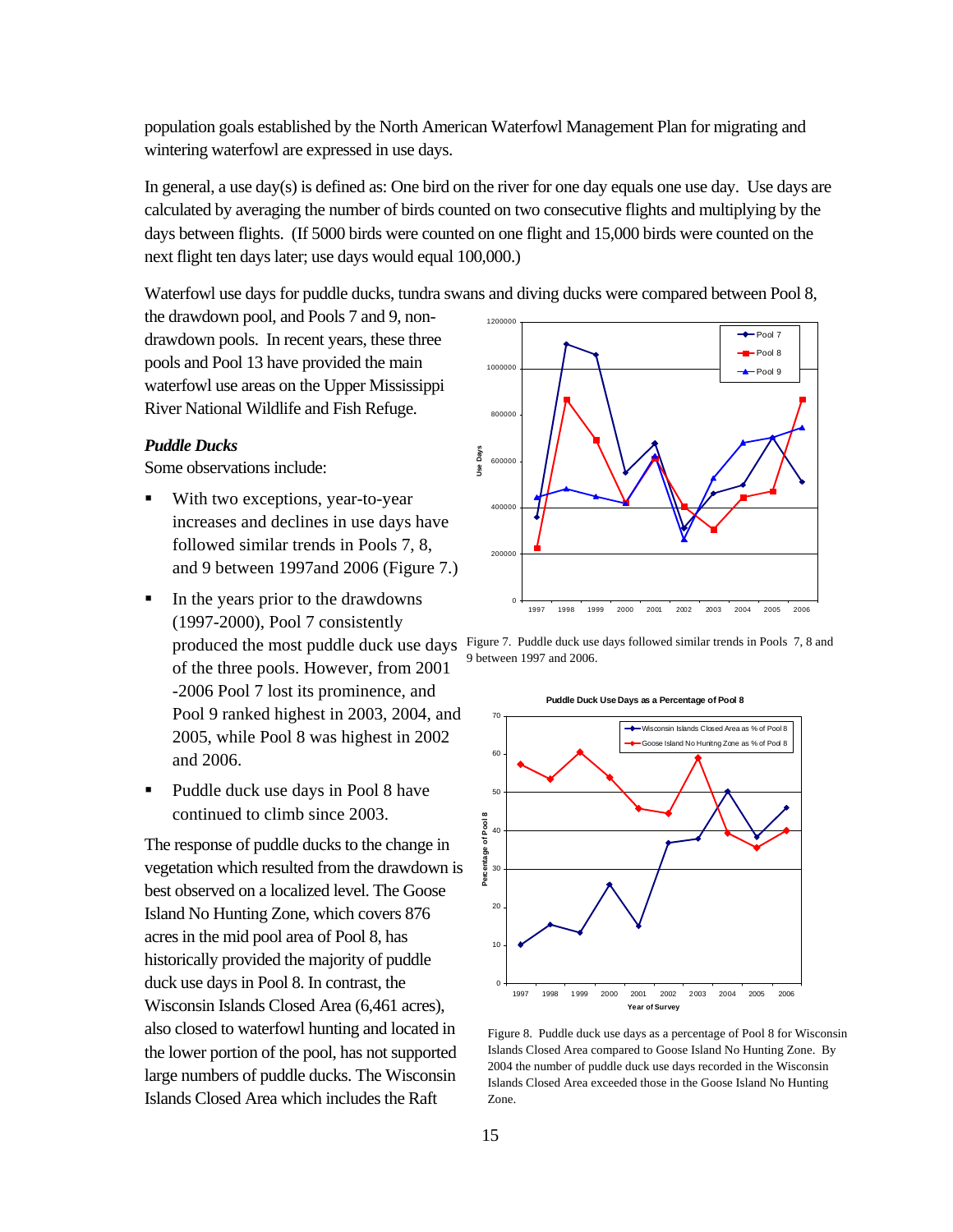population goals established by the North American Waterfowl Management Plan for migrating and wintering waterfowl are expressed in use days.

In general, a use day(s) is defined as: One bird on the river for one day equals one use day. Use days are calculated by averaging the number of birds counted on two consecutive flights and multiplying by the days between flights. (If 5000 birds were counted on one flight and 15,000 birds were counted on the next flight ten days later; use days would equal 100,000.)

Waterfowl use days for puddle ducks, tundra swans and diving ducks were compared between Pool 8,

the drawdown pool, and Pools 7 and 9, nondrawdown pools. In recent years, these three pools and Pool 13 have provided the main waterfowl use areas on the Upper Mississippi River National Wildlife and Fish Refuge.

#### *Puddle Ducks*

Some observations include:

- With two exceptions, year-to-year increases and declines in use days have followed similar trends in Pools 7, 8, and 9 between 1997and 2006 (Figure 7.)
- In the years prior to the drawdowns (1997-2000), Pool 7 consistently of the three pools. However, from 2001 -2006 Pool 7 lost its prominence, and Pool 9 ranked highest in 2003, 2004, and 2005, while Pool 8 was highest in 2002 and 2006.
- Puddle duck use days in Pool 8 have continued to climb since 2003.

The response of puddle ducks to the change in vegetation which resulted from the drawdown is best observed on a localized level. The Goose Island No Hunting Zone, which covers 876 acres in the mid pool area of Pool 8, has historically provided the majority of puddle duck use days in Pool 8. In contrast, the Wisconsin Islands Closed Area (6,461 acres), also closed to waterfowl hunting and located in the lower portion of the pool, has not supported large numbers of puddle ducks. The Wisconsin Islands Closed Area which includes the Raft



produced the most puddle duck use days Figure 7. Puddle duck use days followed similar trends in Pools 7, 8 and 9 between 1997 and 2006.



Figure 8. Puddle duck use days as a percentage of Pool 8 for Wisconsin Islands Closed Area compared to Goose Island No Hunting Zone. By 2004 the number of puddle duck use days recorded in the Wisconsin Islands Closed Area exceeded those in the Goose Island No Hunting Zone.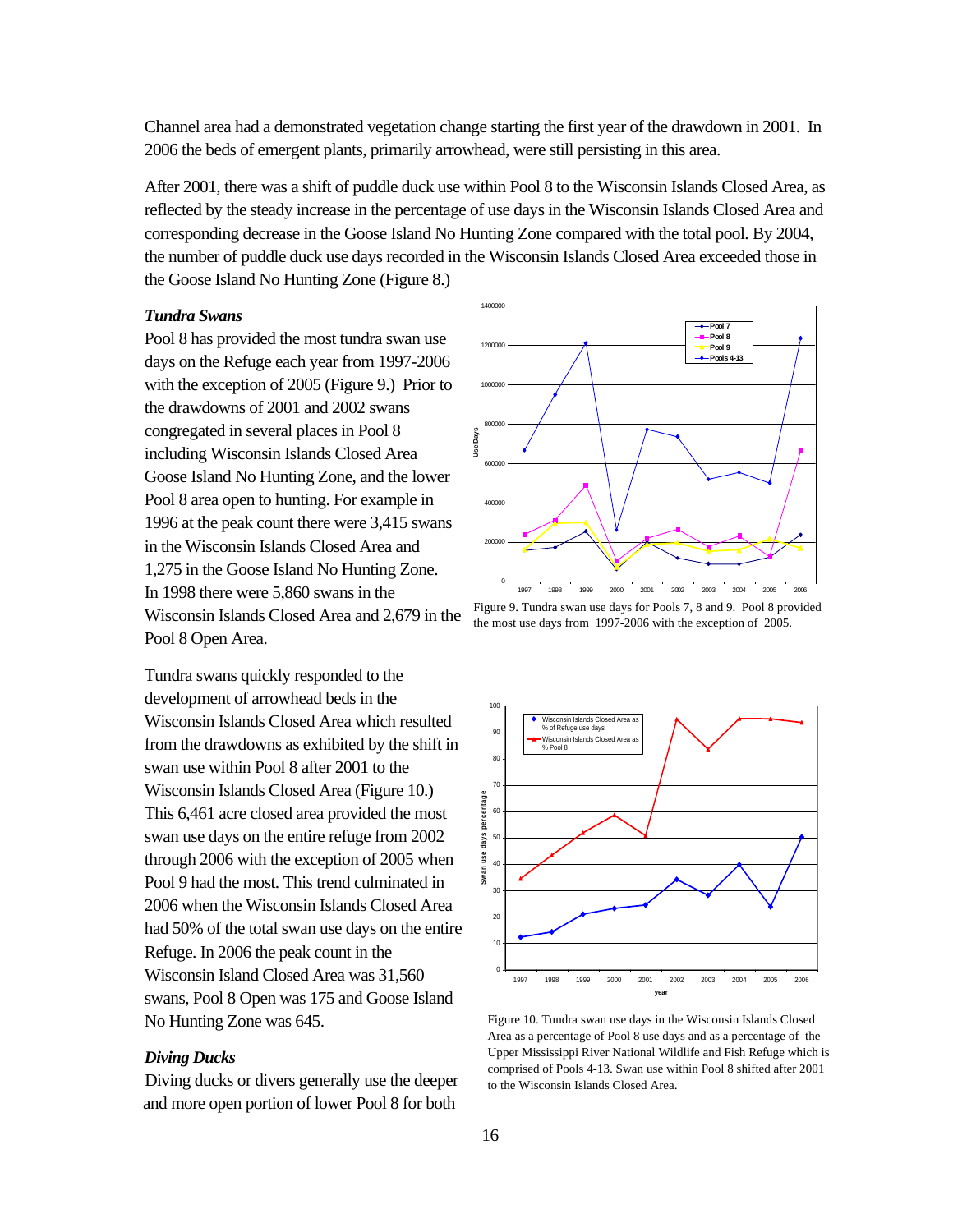Channel area had a demonstrated vegetation change starting the first year of the drawdown in 2001. In 2006 the beds of emergent plants, primarily arrowhead, were still persisting in this area.

After 2001, there was a shift of puddle duck use within Pool 8 to the Wisconsin Islands Closed Area, as reflected by the steady increase in the percentage of use days in the Wisconsin Islands Closed Area and corresponding decrease in the Goose Island No Hunting Zone compared with the total pool. By 2004, the number of puddle duck use days recorded in the Wisconsin Islands Closed Area exceeded those in the Goose Island No Hunting Zone (Figure 8.)

#### *Tundra Swans*

Pool 8 has provided the most tundra swan use days on the Refuge each year from 1997-2006 with the exception of 2005 (Figure 9.) Prior to the drawdowns of 2001 and 2002 swans congregated in several places in Pool 8 including Wisconsin Islands Closed Area Goose Island No Hunting Zone, and the lower Pool 8 area open to hunting. For example in 1996 at the peak count there were 3,415 swans in the Wisconsin Islands Closed Area and 1,275 in the Goose Island No Hunting Zone. In 1998 there were 5,860 swans in the Wisconsin Islands Closed Area and 2,679 in the Pool 8 Open Area.

Tundra swans quickly responded to the development of arrowhead beds in the Wisconsin Islands Closed Area which resulted from the drawdowns as exhibited by the shift in swan use within Pool 8 after 2001 to the Wisconsin Islands Closed Area (Figure 10.) This 6,461 acre closed area provided the most swan use days on the entire refuge from 2002 through 2006 with the exception of 2005 when Pool 9 had the most. This trend culminated in 2006 when the Wisconsin Islands Closed Area had 50% of the total swan use days on the entire Refuge. In 2006 the peak count in the Wisconsin Island Closed Area was 31,560 swans, Pool 8 Open was 175 and Goose Island No Hunting Zone was 645.

#### *Diving Ducks*

Diving ducks or divers generally use the deeper and more open portion of lower Pool 8 for both



Figure 9. Tundra swan use days for Pools 7, 8 and 9. Pool 8 provided the most use days from 1997-2006 with the exception of 2005.



Figure 10. Tundra swan use days in the Wisconsin Islands Closed Area as a percentage of Pool 8 use days and as a percentage of the Upper Mississippi River National Wildlife and Fish Refuge which is comprised of Pools 4-13. Swan use within Pool 8 shifted after 2001 to the Wisconsin Islands Closed Area.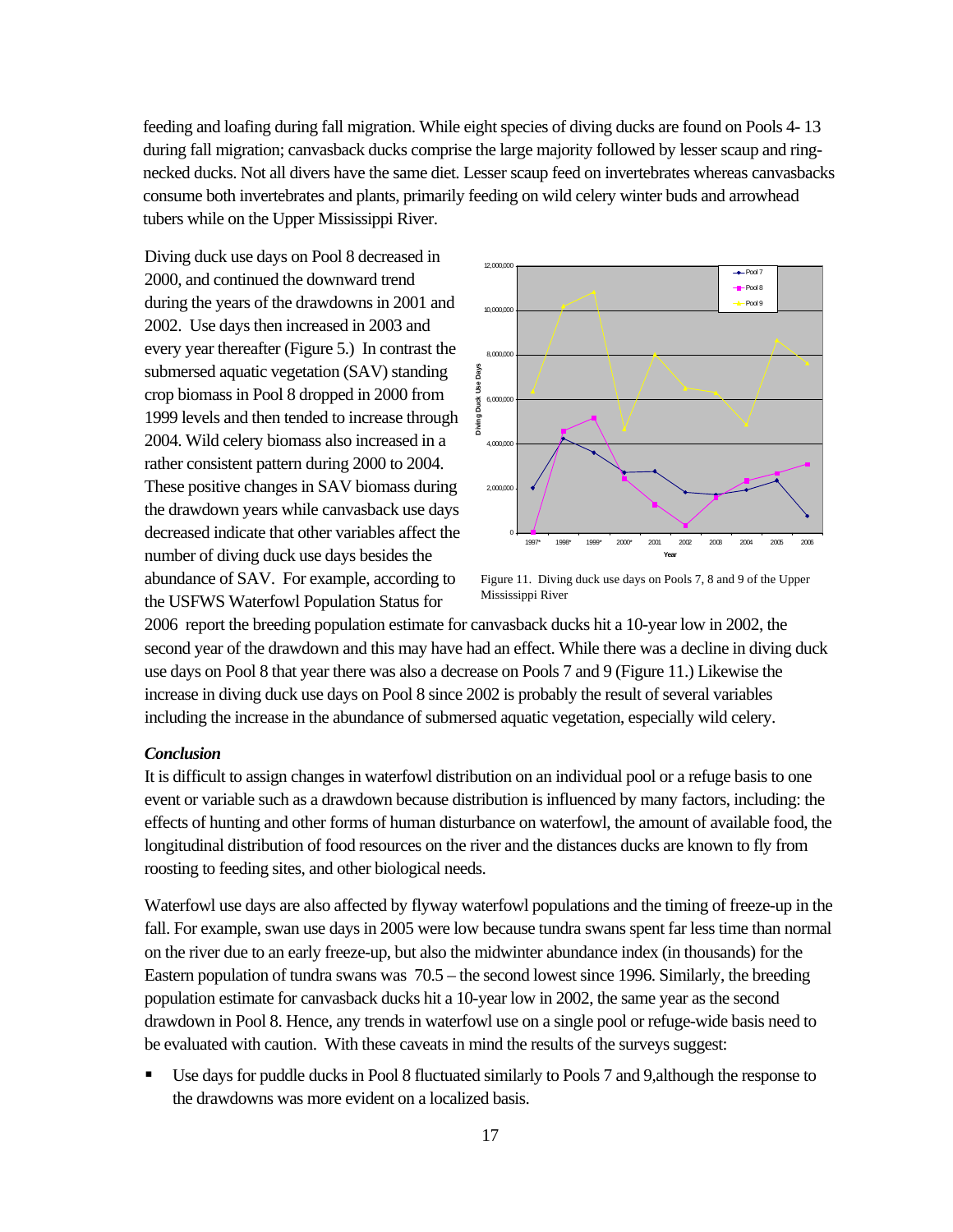feeding and loafing during fall migration. While eight species of diving ducks are found on Pools 4- 13 during fall migration; canvasback ducks comprise the large majority followed by lesser scaup and ringnecked ducks. Not all divers have the same diet. Lesser scaup feed on invertebrates whereas canvasbacks consume both invertebrates and plants, primarily feeding on wild celery winter buds and arrowhead tubers while on the Upper Mississippi River.

Diving duck use days on Pool 8 decreased in 2000, and continued the downward trend during the years of the drawdowns in 2001 and 2002. Use days then increased in 2003 and every year thereafter (Figure 5.) In contrast the submersed aquatic vegetation (SAV) standing crop biomass in Pool 8 dropped in 2000 from 1999 levels and then tended to increase through 2004. Wild celery biomass also increased in a rather consistent pattern during 2000 to 2004. These positive changes in SAV biomass during the drawdown years while canvasback use days decreased indicate that other variables affect the number of diving duck use days besides the abundance of SAV. For example, according to the USFWS Waterfowl Population Status for



Figure 11. Diving duck use days on Pools 7, 8 and 9 of the Upper Mississippi River

2006report the breeding population estimate for canvasback ducks hit a 10-year low in 2002, the second year of the drawdown and this may have had an effect. While there was a decline in diving duck use days on Pool 8 that year there was also a decrease on Pools 7 and 9 (Figure 11.) Likewise the increase in diving duck use days on Pool 8 since 2002 is probably the result of several variables including the increase in the abundance of submersed aquatic vegetation, especially wild celery.

#### *Conclusion*

It is difficult to assign changes in waterfowl distribution on an individual pool or a refuge basis to one event or variable such as a drawdown because distribution is influenced by many factors, including: the effects of hunting and other forms of human disturbance on waterfowl, the amount of available food, the longitudinal distribution of food resources on the river and the distances ducks are known to fly from roosting to feeding sites, and other biological needs.

Waterfowl use days are also affected by flyway waterfowl populations and the timing of freeze-up in the fall. For example, swan use days in 2005 were low because tundra swans spent far less time than normal on the river due to an early freeze-up, but also the midwinter abundance index (in thousands) for the Eastern population of tundra swans was 70.5 – the second lowest since 1996. Similarly, the breeding population estimate for canvasback ducks hit a 10-year low in 2002, the same year as the second drawdown in Pool 8. Hence, any trends in waterfowl use on a single pool or refuge-wide basis need to be evaluated with caution. With these caveats in mind the results of the surveys suggest:

 Use days for puddle ducks in Pool 8 fluctuated similarly to Pools 7 and 9,although the response to the drawdowns was more evident on a localized basis.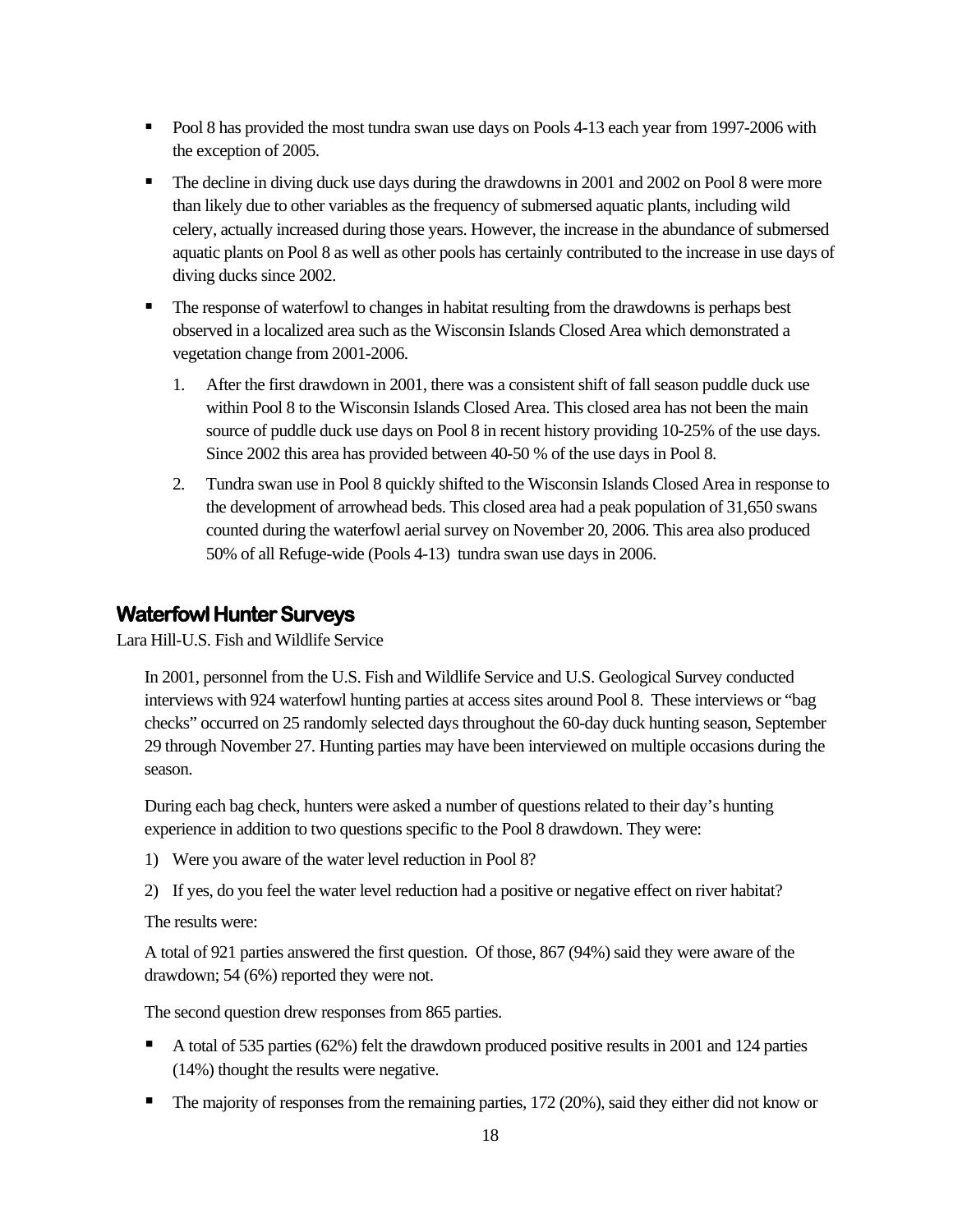- Pool 8 has provided the most tundra swan use days on Pools 4-13 each year from 1997-2006 with the exception of 2005.
- The decline in diving duck use days during the drawdowns in 2001 and 2002 on Pool 8 were more than likely due to other variables as the frequency of submersed aquatic plants, including wild celery, actually increased during those years. However, the increase in the abundance of submersed aquatic plants on Pool 8 as well as other pools has certainly contributed to the increase in use days of diving ducks since 2002.
- The response of waterfowl to changes in habitat resulting from the drawdowns is perhaps best observed in a localized area such as the Wisconsin Islands Closed Area which demonstrated a vegetation change from 2001-2006.
	- 1. After the first drawdown in 2001, there was a consistent shift of fall season puddle duck use within Pool 8 to the Wisconsin Islands Closed Area. This closed area has not been the main source of puddle duck use days on Pool 8 in recent history providing 10-25% of the use days. Since 2002 this area has provided between 40-50 % of the use days in Pool 8.
	- 2. Tundra swan use in Pool 8 quickly shifted to the Wisconsin Islands Closed Area in response to the development of arrowhead beds. This closed area had a peak population of 31,650 swans counted during the waterfowl aerial survey on November 20, 2006. This area also produced 50% of all Refuge-wide (Pools 4-13) tundra swan use days in 2006.

#### **Waterfowl Hunter Surveys**

Lara Hill-U.S. Fish and Wildlife Service

In 2001, personnel from the U.S. Fish and Wildlife Service and U.S. Geological Survey conducted interviews with 924 waterfowl hunting parties at access sites around Pool 8. These interviews or "bag checks" occurred on 25 randomly selected days throughout the 60-day duck hunting season, September 29 through November 27. Hunting parties may have been interviewed on multiple occasions during the season.

During each bag check, hunters were asked a number of questions related to their day's hunting experience in addition to two questions specific to the Pool 8 drawdown. They were:

- 1) Were you aware of the water level reduction in Pool 8?
- 2) If yes, do you feel the water level reduction had a positive or negative effect on river habitat?

The results were:

A total of 921 parties answered the first question. Of those, 867 (94%) said they were aware of the drawdown; 54 (6%) reported they were not.

The second question drew responses from 865 parties.

- A total of 535 parties (62%) felt the drawdown produced positive results in 2001 and 124 parties (14%) thought the results were negative.
- The majority of responses from the remaining parties, 172 (20%), said they either did not know or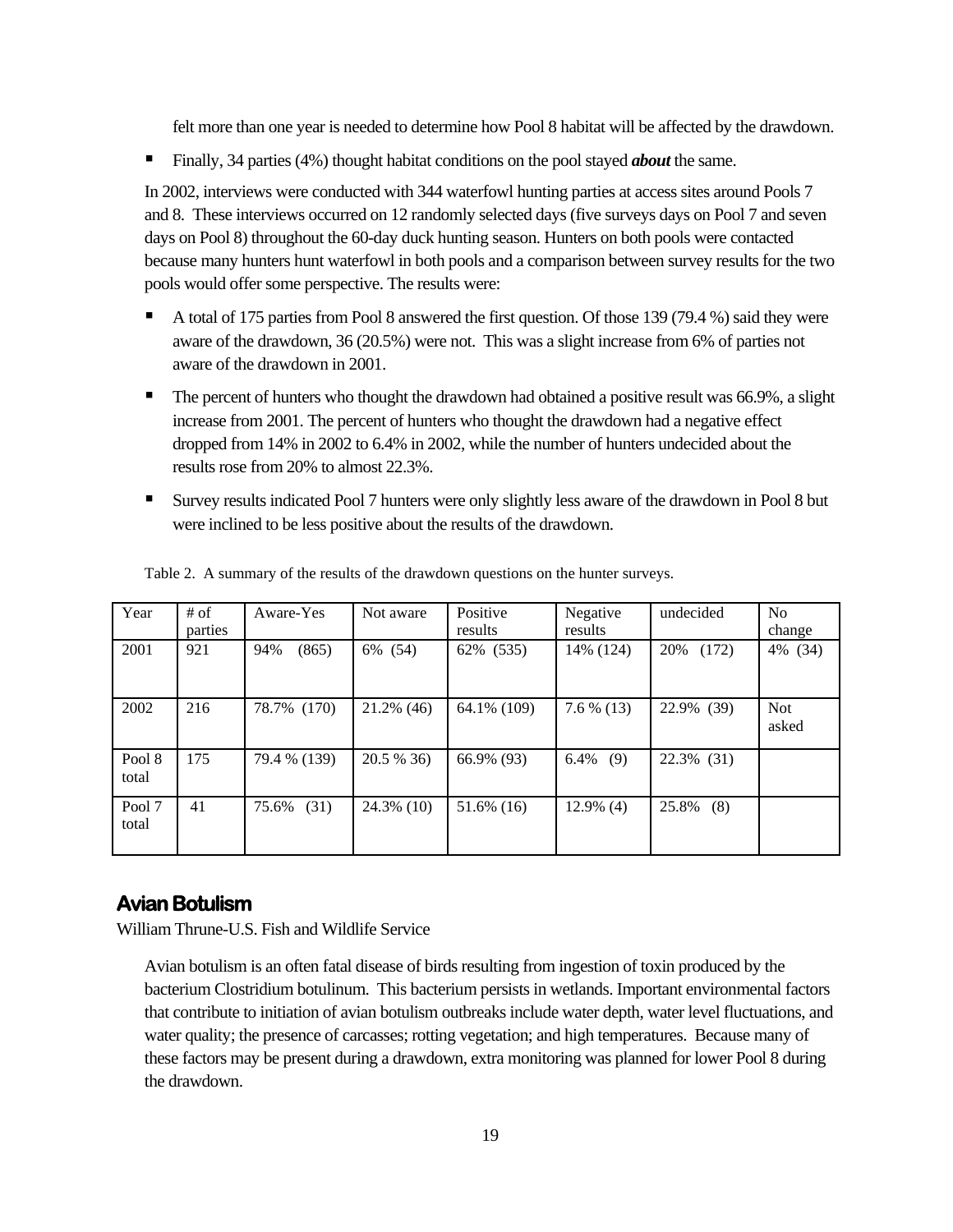felt more than one year is needed to determine how Pool 8 habitat will be affected by the drawdown.

Finally, 34 parties (4%) thought habitat conditions on the pool stayed *about* the same.

In 2002, interviews were conducted with 344 waterfowl hunting parties at access sites around Pools 7 and 8. These interviews occurred on 12 randomly selected days (five surveys days on Pool 7 and seven days on Pool 8) throughout the 60-day duck hunting season. Hunters on both pools were contacted because many hunters hunt waterfowl in both pools and a comparison between survey results for the two pools would offer some perspective. The results were:

- A total of 175 parties from Pool 8 answered the first question. Of those 139 (79.4 %) said they were aware of the drawdown, 36 (20.5%) were not. This was a slight increase from 6% of parties not aware of the drawdown in 2001.
- The percent of hunters who thought the drawdown had obtained a positive result was 66.9%, a slight increase from 2001. The percent of hunters who thought the drawdown had a negative effect dropped from 14% in 2002 to 6.4% in 2002, while the number of hunters undecided about the results rose from 20% to almost 22.3%.
- Survey results indicated Pool 7 hunters were only slightly less aware of the drawdown in Pool 8 but were inclined to be less positive about the results of the drawdown.

| Year            | # of<br>parties | Aware-Yes    | Not aware     | Positive<br>results | Negative<br>results | undecided     | N <sub>0</sub><br>change |
|-----------------|-----------------|--------------|---------------|---------------------|---------------------|---------------|--------------------------|
| 2001            | 921             | 94%<br>(865) | 6% (54)       | 62% (535)           | 14% (124)           | 20%<br>(172)  | 4% (34)                  |
| 2002            | 216             | 78.7% (170)  | $21.2\%$ (46) | 64.1% (109)         | $7.6\%$ (13)        | 22.9% (39)    | <b>Not</b><br>asked      |
| Pool 8<br>total | 175             | 79.4 % (139) | 20.5 % 36)    | 66.9% (93)          | 6.4%<br>(9)         | $22.3\%$ (31) |                          |
| Pool 7<br>total | 41              | 75.6% (31)   | $24.3\%$ (10) | 51.6% (16)          | $12.9\%$ (4)        | 25.8% (8)     |                          |

Table 2. A summary of the results of the drawdown questions on the hunter surveys.

#### **Avian Botulism**

William Thrune-U.S. Fish and Wildlife Service

Avian botulism is an often fatal disease of birds resulting from ingestion of toxin produced by the bacterium Clostridium botulinum. This bacterium persists in wetlands. Important environmental factors that contribute to initiation of avian botulism outbreaks include water depth, water level fluctuations, and water quality; the presence of carcasses; rotting vegetation; and high temperatures. Because many of these factors may be present during a drawdown, extra monitoring was planned for lower Pool 8 during the drawdown.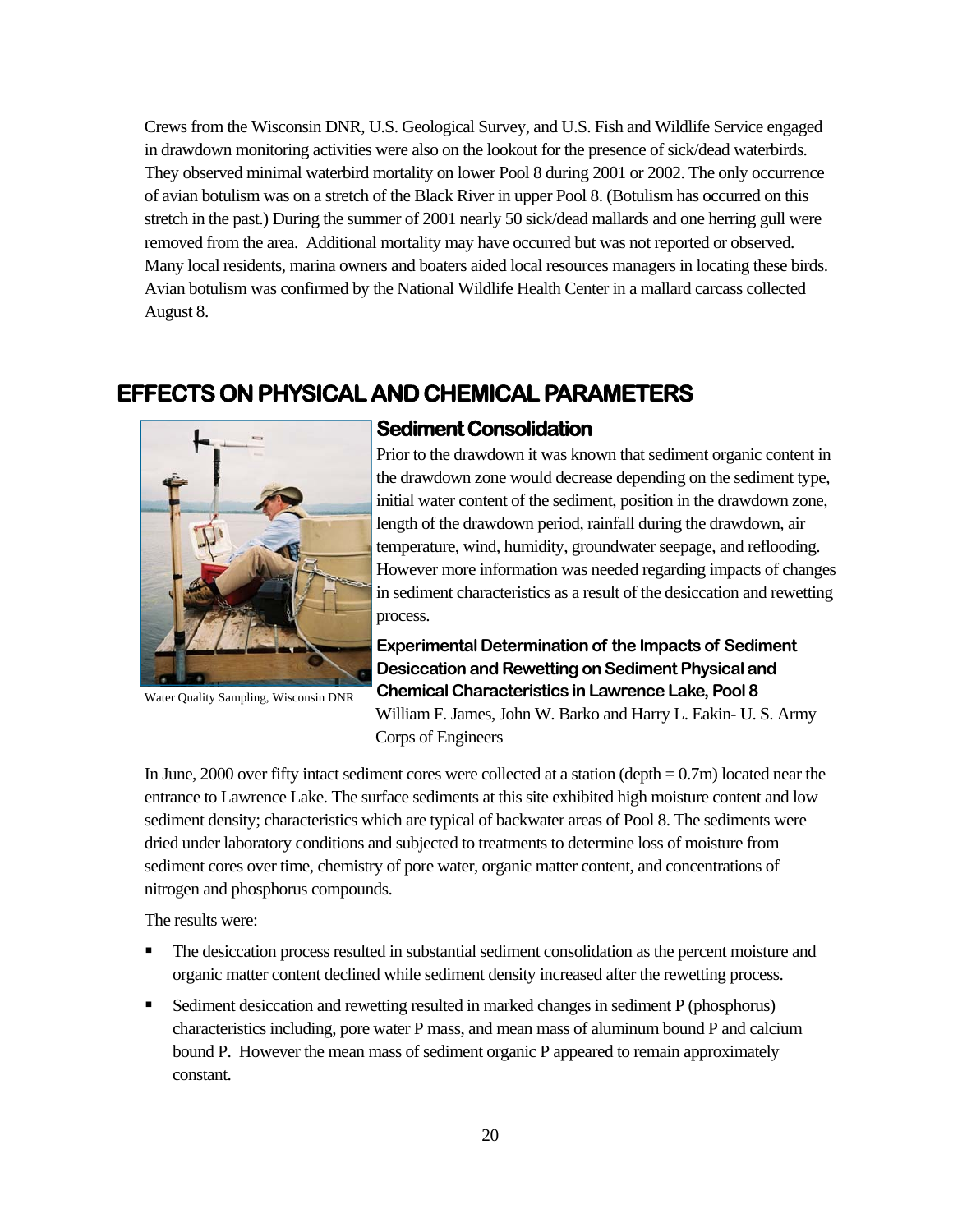Crews from the Wisconsin DNR, U.S. Geological Survey, and U.S. Fish and Wildlife Service engaged in drawdown monitoring activities were also on the lookout for the presence of sick/dead waterbirds. They observed minimal waterbird mortality on lower Pool 8 during 2001 or 2002. The only occurrence of avian botulism was on a stretch of the Black River in upper Pool 8. (Botulism has occurred on this stretch in the past.) During the summer of 2001 nearly 50 sick/dead mallards and one herring gull were removed from the area. Additional mortality may have occurred but was not reported or observed. Many local residents, marina owners and boaters aided local resources managers in locating these birds. Avian botulism was confirmed by the National Wildlife Health Center in a mallard carcass collected August 8.

# **EFFECTS ON PHYSICAL AND CHEMICAL PARAMETERS**



Water Quality Sampling, Wisconsin DNR

#### **Sediment Consolidation**

Prior to the drawdown it was known that sediment organic content in the drawdown zone would decrease depending on the sediment type, initial water content of the sediment, position in the drawdown zone, length of the drawdown period, rainfall during the drawdown, air temperature, wind, humidity, groundwater seepage, and reflooding. However more information was needed regarding impacts of changes in sediment characteristics as a result of the desiccation and rewetting process.

**Experimental Determination of the Impacts of Sediment Desiccation and Rewetting on Sediment Physical and Chemical Characteristics in Lawrence Lake, Pool 8**  William F. James, John W. Barko and Harry L. Eakin- U. S. Army Corps of Engineers

In June, 2000 over fifty intact sediment cores were collected at a station (depth  $= 0.7$ m) located near the entrance to Lawrence Lake. The surface sediments at this site exhibited high moisture content and low sediment density; characteristics which are typical of backwater areas of Pool 8. The sediments were dried under laboratory conditions and subjected to treatments to determine loss of moisture from sediment cores over time, chemistry of pore water, organic matter content, and concentrations of nitrogen and phosphorus compounds.

The results were:

- The desiccation process resulted in substantial sediment consolidation as the percent moisture and organic matter content declined while sediment density increased after the rewetting process.
- Sediment desiccation and rewetting resulted in marked changes in sediment P (phosphorus) characteristics including, pore water P mass, and mean mass of aluminum bound P and calcium bound P. However the mean mass of sediment organic P appeared to remain approximately constant.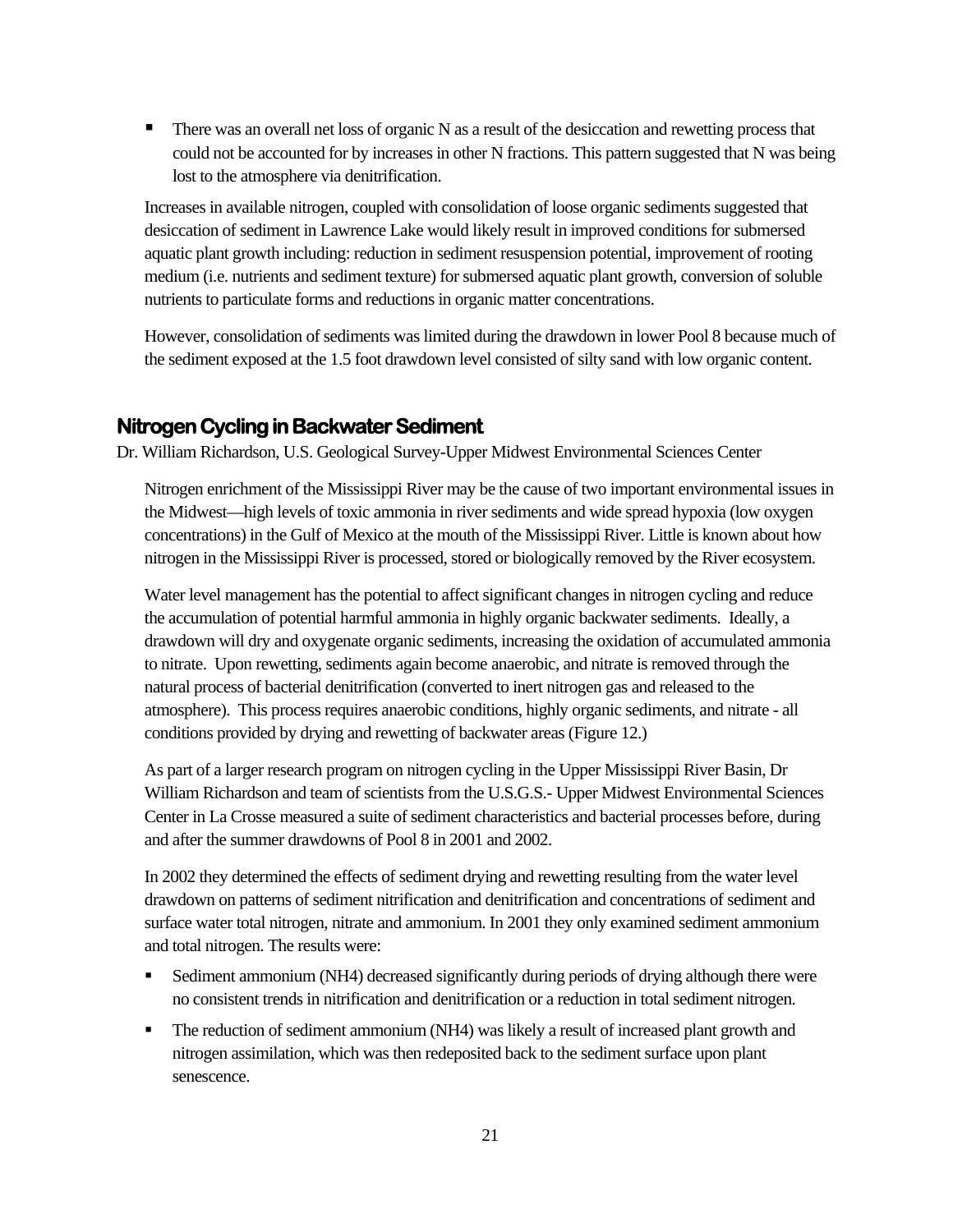There was an overall net loss of organic N as a result of the desiccation and rewetting process that could not be accounted for by increases in other N fractions. This pattern suggested that N was being lost to the atmosphere via denitrification.

Increases in available nitrogen, coupled with consolidation of loose organic sediments suggested that desiccation of sediment in Lawrence Lake would likely result in improved conditions for submersed aquatic plant growth including: reduction in sediment resuspension potential, improvement of rooting medium (i.e. nutrients and sediment texture) for submersed aquatic plant growth, conversion of soluble nutrients to particulate forms and reductions in organic matter concentrations.

However, consolidation of sediments was limited during the drawdown in lower Pool 8 because much of the sediment exposed at the 1.5 foot drawdown level consisted of silty sand with low organic content.

#### **Nitrogen Cycling in Backwater Sediment**

Dr. William Richardson, U.S. Geological Survey-Upper Midwest Environmental Sciences Center

Nitrogen enrichment of the Mississippi River may be the cause of two important environmental issues in the Midwest—high levels of toxic ammonia in river sediments and wide spread hypoxia (low oxygen concentrations) in the Gulf of Mexico at the mouth of the Mississippi River. Little is known about how nitrogen in the Mississippi River is processed, stored or biologically removed by the River ecosystem.

Water level management has the potential to affect significant changes in nitrogen cycling and reduce the accumulation of potential harmful ammonia in highly organic backwater sediments. Ideally, a drawdown will dry and oxygenate organic sediments, increasing the oxidation of accumulated ammonia to nitrate. Upon rewetting, sediments again become anaerobic, and nitrate is removed through the natural process of bacterial denitrification (converted to inert nitrogen gas and released to the atmosphere). This process requires anaerobic conditions, highly organic sediments, and nitrate - all conditions provided by drying and rewetting of backwater areas (Figure 12.)

As part of a larger research program on nitrogen cycling in the Upper Mississippi River Basin, Dr William Richardson and team of scientists from the U.S.G.S.- Upper Midwest Environmental Sciences Center in La Crosse measured a suite of sediment characteristics and bacterial processes before, during and after the summer drawdowns of Pool 8 in 2001 and 2002.

In 2002 they determined the effects of sediment drying and rewetting resulting from the water level drawdown on patterns of sediment nitrification and denitrification and concentrations of sediment and surface water total nitrogen, nitrate and ammonium. In 2001 they only examined sediment ammonium and total nitrogen. The results were:

- Sediment ammonium (NH4) decreased significantly during periods of drying although there were no consistent trends in nitrification and denitrification or a reduction in total sediment nitrogen.
- The reduction of sediment ammonium (NH4) was likely a result of increased plant growth and nitrogen assimilation, which was then redeposited back to the sediment surface upon plant senescence.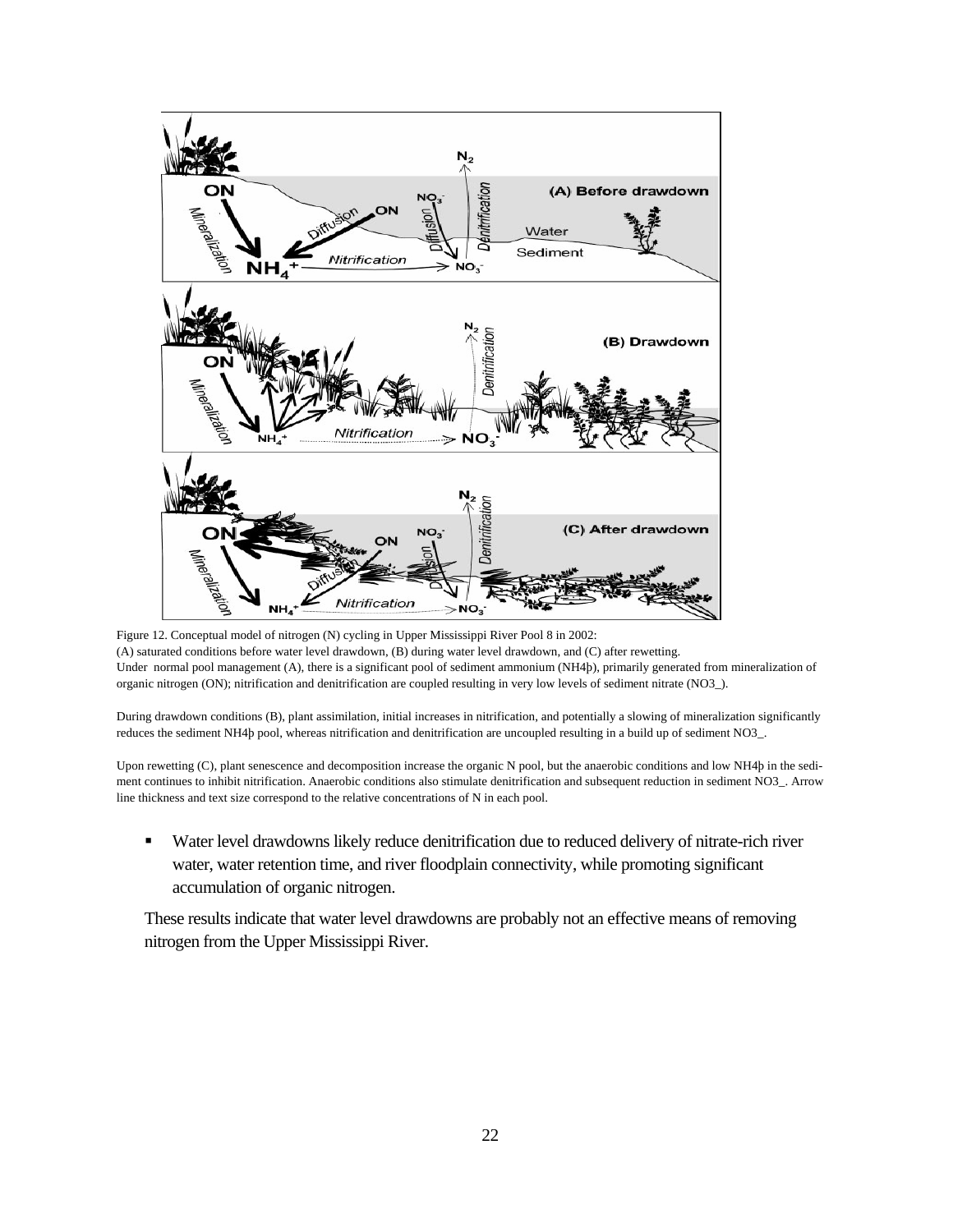

Figure 12. Conceptual model of nitrogen (N) cycling in Upper Mississippi River Pool 8 in 2002: (A) saturated conditions before water level drawdown, (B) during water level drawdown, and (C) after rewetting. Under normal pool management (A), there is a significant pool of sediment ammonium (NH4þ), primarily generated from mineralization of organic nitrogen (ON); nitrification and denitrification are coupled resulting in very low levels of sediment nitrate (NO3\_).

During drawdown conditions (B), plant assimilation, initial increases in nitrification, and potentially a slowing of mineralization significantly reduces the sediment NH4þ pool, whereas nitrification and denitrification are uncoupled resulting in a build up of sediment NO3\_.

Upon rewetting (C), plant senescence and decomposition increase the organic N pool, but the anaerobic conditions and low NH4þ in the sediment continues to inhibit nitrification. Anaerobic conditions also stimulate denitrification and subsequent reduction in sediment NO3\_. Arrow line thickness and text size correspond to the relative concentrations of N in each pool.

 Water level drawdowns likely reduce denitrification due to reduced delivery of nitrate-rich river water, water retention time, and river floodplain connectivity, while promoting significant accumulation of organic nitrogen.

These results indicate that water level drawdowns are probably not an effective means of removing nitrogen from the Upper Mississippi River.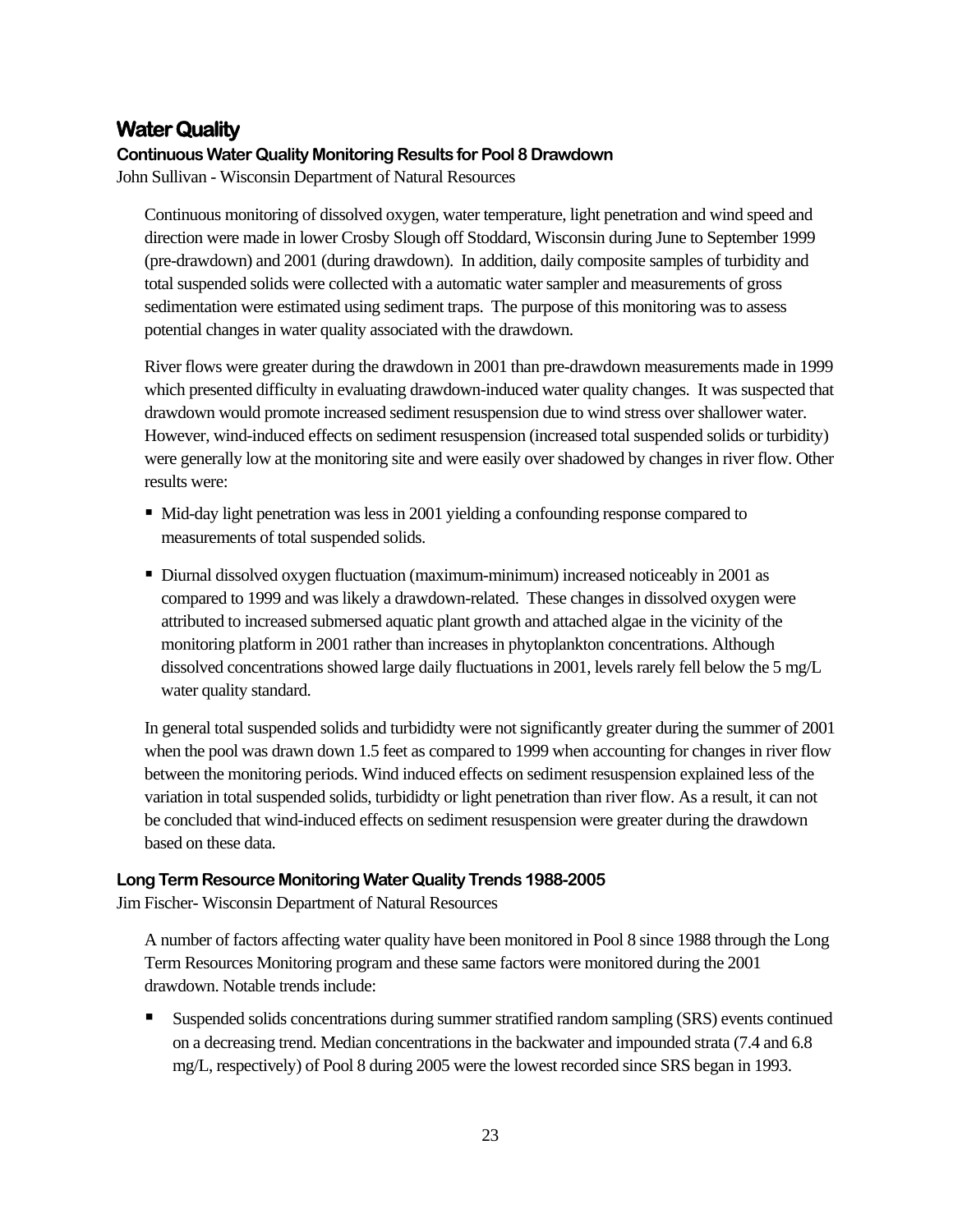#### **Water Quality**

#### **Continuous Water Quality Monitoring Results for Pool 8 Drawdown**

John Sullivan - Wisconsin Department of Natural Resources

Continuous monitoring of dissolved oxygen, water temperature, light penetration and wind speed and direction were made in lower Crosby Slough off Stoddard, Wisconsin during June to September 1999 (pre-drawdown) and 2001 (during drawdown). In addition, daily composite samples of turbidity and total suspended solids were collected with a automatic water sampler and measurements of gross sedimentation were estimated using sediment traps. The purpose of this monitoring was to assess potential changes in water quality associated with the drawdown.

River flows were greater during the drawdown in 2001 than pre-drawdown measurements made in 1999 which presented difficulty in evaluating drawdown-induced water quality changes. It was suspected that drawdown would promote increased sediment resuspension due to wind stress over shallower water. However, wind-induced effects on sediment resuspension (increased total suspended solids or turbidity) were generally low at the monitoring site and were easily over shadowed by changes in river flow. Other results were:

- $\blacksquare$  Mid-day light penetration was less in 2001 yielding a confounding response compared to measurements of total suspended solids.
- Diurnal dissolved oxygen fluctuation (maximum-minimum) increased noticeably in 2001 as compared to 1999 and was likely a drawdown-related. These changes in dissolved oxygen were attributed to increased submersed aquatic plant growth and attached algae in the vicinity of the monitoring platform in 2001 rather than increases in phytoplankton concentrations. Although dissolved concentrations showed large daily fluctuations in 2001, levels rarely fell below the 5 mg/L water quality standard.

In general total suspended solids and turbididty were not significantly greater during the summer of 2001 when the pool was drawn down 1.5 feet as compared to 1999 when accounting for changes in river flow between the monitoring periods. Wind induced effects on sediment resuspension explained less of the variation in total suspended solids, turbididty or light penetration than river flow. As a result, it can not be concluded that wind-induced effects on sediment resuspension were greater during the drawdown based on these data.

#### **Long Term Resource Monitoring Water Quality Trends 1988-2005**

Jim Fischer- Wisconsin Department of Natural Resources

A number of factors affecting water quality have been monitored in Pool 8 since 1988 through the Long Term Resources Monitoring program and these same factors were monitored during the 2001 drawdown. Notable trends include:

 Suspended solids concentrations during summer stratified random sampling (SRS) events continued on a decreasing trend. Median concentrations in the backwater and impounded strata (7.4 and 6.8 mg/L, respectively) of Pool 8 during 2005 were the lowest recorded since SRS began in 1993.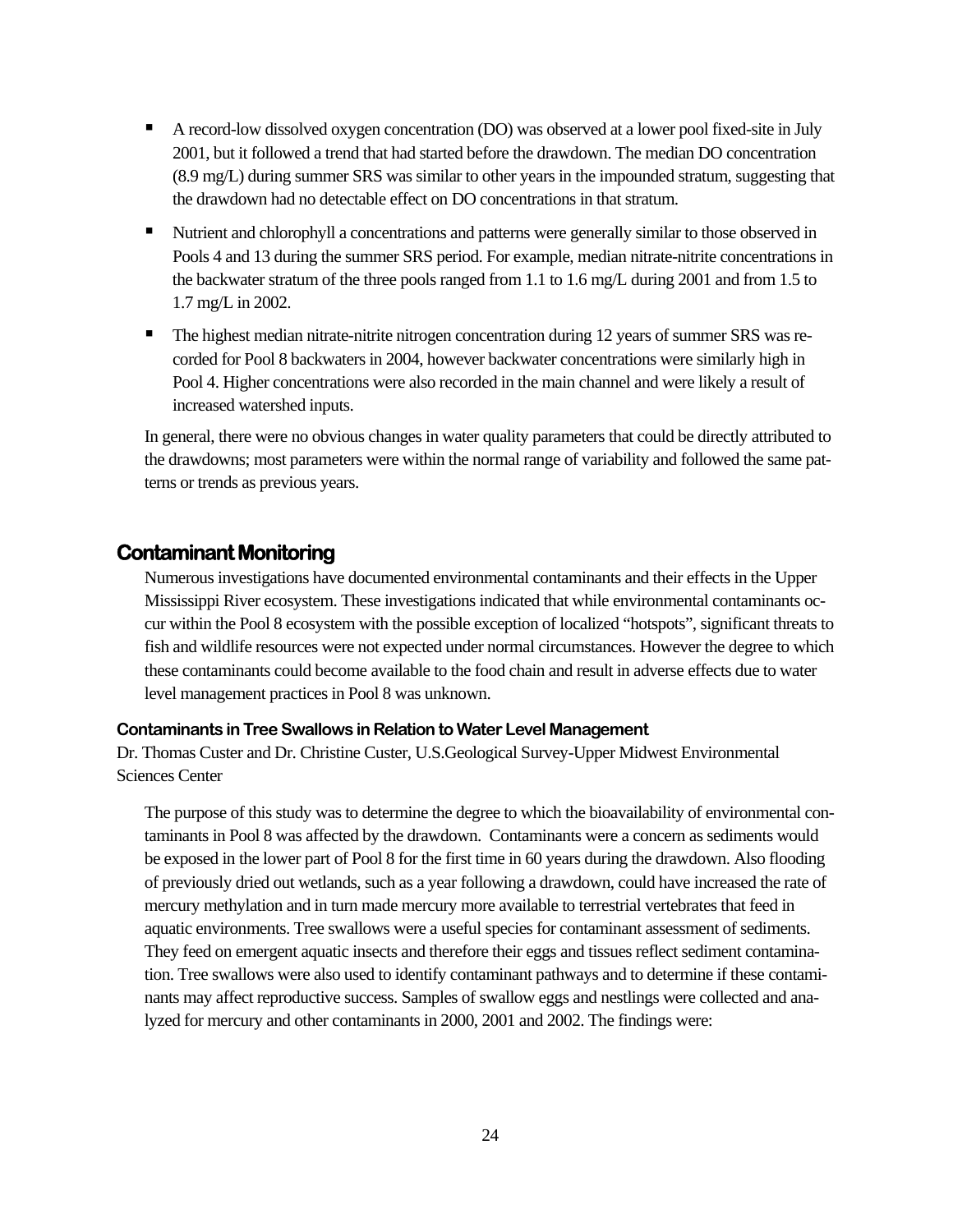- A record-low dissolved oxygen concentration (DO) was observed at a lower pool fixed-site in July 2001, but it followed a trend that had started before the drawdown. The median DO concentration (8.9 mg/L) during summer SRS was similar to other years in the impounded stratum, suggesting that the drawdown had no detectable effect on DO concentrations in that stratum.
- Nutrient and chlorophyll a concentrations and patterns were generally similar to those observed in Pools 4 and 13 during the summer SRS period. For example, median nitrate-nitrite concentrations in the backwater stratum of the three pools ranged from 1.1 to 1.6 mg/L during 2001 and from 1.5 to 1.7 mg/L in 2002.
- The highest median nitrate-nitrite nitrogen concentration during 12 years of summer SRS was recorded for Pool 8 backwaters in 2004, however backwater concentrations were similarly high in Pool 4. Higher concentrations were also recorded in the main channel and were likely a result of increased watershed inputs.

In general, there were no obvious changes in water quality parameters that could be directly attributed to the drawdowns; most parameters were within the normal range of variability and followed the same patterns or trends as previous years.

#### **Contaminant Monitoring**

Numerous investigations have documented environmental contaminants and their effects in the Upper Mississippi River ecosystem. These investigations indicated that while environmental contaminants occur within the Pool 8 ecosystem with the possible exception of localized "hotspots", significant threats to fish and wildlife resources were not expected under normal circumstances. However the degree to which these contaminants could become available to the food chain and result in adverse effects due to water level management practices in Pool 8 was unknown.

#### **Contaminants in Tree Swallows in Relation to Water Level Management**

Dr. Thomas Custer and Dr. Christine Custer, U.S.Geological Survey-Upper Midwest Environmental Sciences Center

The purpose of this study was to determine the degree to which the bioavailability of environmental contaminants in Pool 8 was affected by the drawdown. Contaminants were a concern as sediments would be exposed in the lower part of Pool 8 for the first time in 60 years during the drawdown. Also flooding of previously dried out wetlands, such as a year following a drawdown, could have increased the rate of mercury methylation and in turn made mercury more available to terrestrial vertebrates that feed in aquatic environments. Tree swallows were a useful species for contaminant assessment of sediments. They feed on emergent aquatic insects and therefore their eggs and tissues reflect sediment contamination. Tree swallows were also used to identify contaminant pathways and to determine if these contaminants may affect reproductive success. Samples of swallow eggs and nestlings were collected and analyzed for mercury and other contaminants in 2000, 2001 and 2002. The findings were: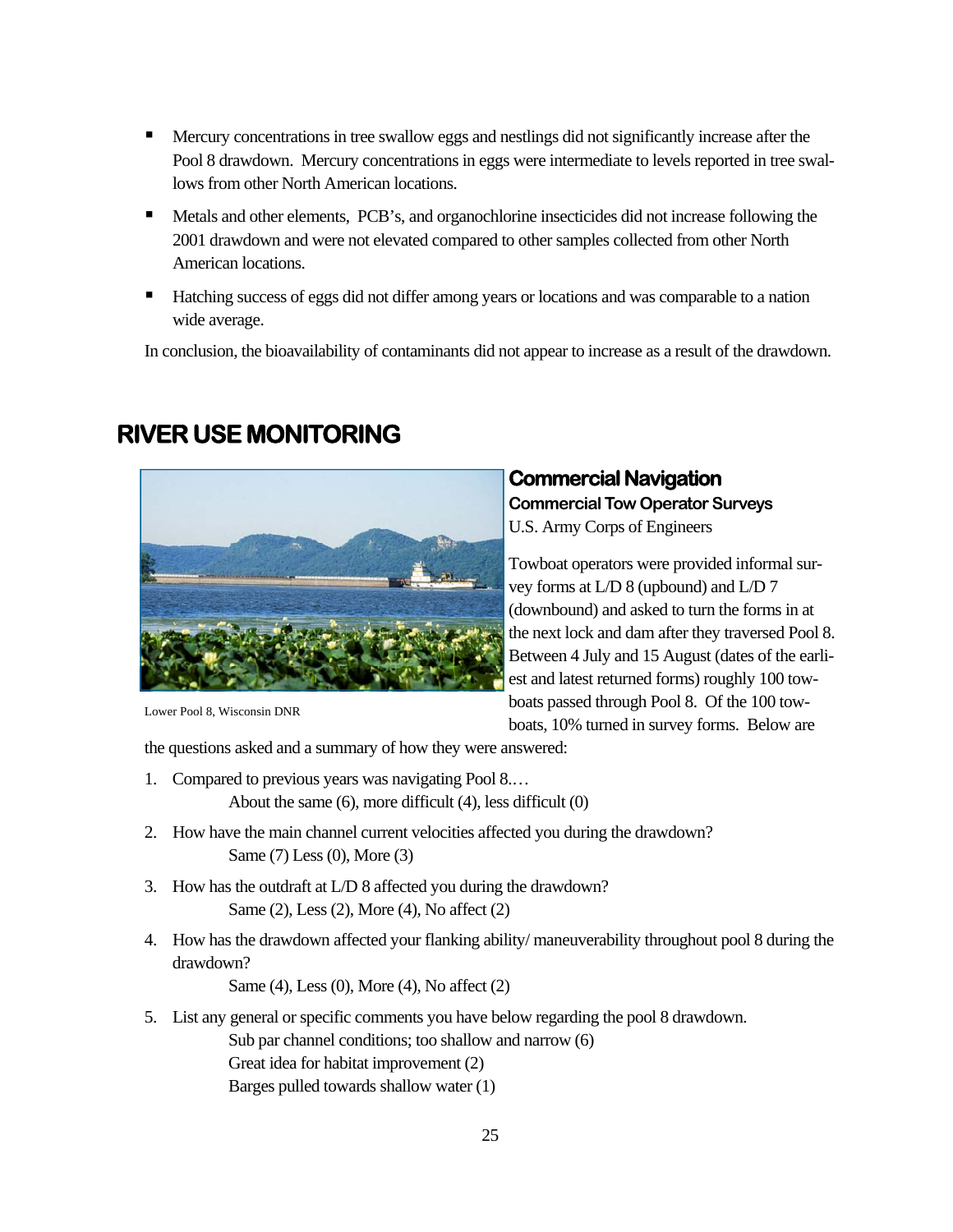- **Mercury concentrations in tree swallow eggs and nestlings did not significantly increase after the** Pool 8 drawdown. Mercury concentrations in eggs were intermediate to levels reported in tree swallows from other North American locations.
- Metals and other elements, PCB's, and organochlorine insecticides did not increase following the 2001 drawdown and were not elevated compared to other samples collected from other North American locations.
- Hatching success of eggs did not differ among years or locations and was comparable to a nation wide average.

In conclusion, the bioavailability of contaminants did not appear to increase as a result of the drawdown.

# **RIVER USE MONITORING**



Lower Pool 8, Wisconsin DNR

#### **Commercial Navigation**

**Commercial Tow Operator Surveys**  U.S. Army Corps of Engineers

Towboat operators were provided informal survey forms at L/D 8 (upbound) and L/D 7 (downbound) and asked to turn the forms in at the next lock and dam after they traversed Pool 8. Between 4 July and 15 August (dates of the earliest and latest returned forms) roughly 100 towboats passed through Pool 8. Of the 100 towboats, 10% turned in survey forms. Below are

the questions asked and a summary of how they were answered:

- 1. Compared to previous years was navigating Pool 8.… About the same (6), more difficult (4), less difficult (0)
- 2. How have the main channel current velocities affected you during the drawdown? Same (7) Less (0), More (3)
- 3. How has the outdraft at L/D 8 affected you during the drawdown? Same (2), Less (2), More (4), No affect (2)
- 4. How has the drawdown affected your flanking ability/ maneuverability throughout pool 8 during the drawdown?

Same (4), Less (0), More (4), No affect (2)

5. List any general or specific comments you have below regarding the pool 8 drawdown. Sub par channel conditions; too shallow and narrow (6) Great idea for habitat improvement (2) Barges pulled towards shallow water (1)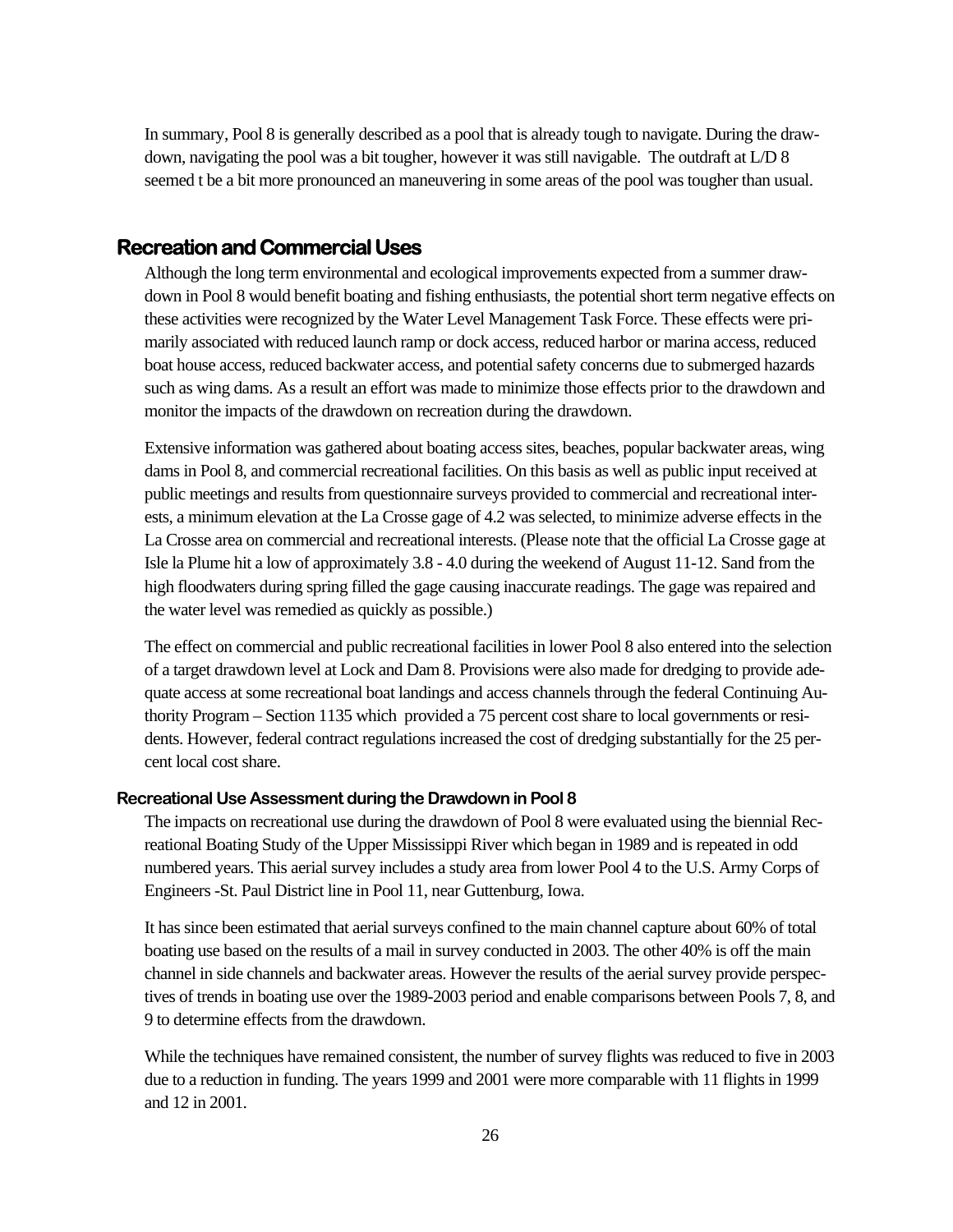In summary, Pool 8 is generally described as a pool that is already tough to navigate. During the drawdown, navigating the pool was a bit tougher, however it was still navigable. The outdraft at L/D 8 seemed t be a bit more pronounced an maneuvering in some areas of the pool was tougher than usual.

#### **Recreation and Commercial Uses**

Although the long term environmental and ecological improvements expected from a summer drawdown in Pool 8 would benefit boating and fishing enthusiasts, the potential short term negative effects on these activities were recognized by the Water Level Management Task Force. These effects were primarily associated with reduced launch ramp or dock access, reduced harbor or marina access, reduced boat house access, reduced backwater access, and potential safety concerns due to submerged hazards such as wing dams. As a result an effort was made to minimize those effects prior to the drawdown and monitor the impacts of the drawdown on recreation during the drawdown.

Extensive information was gathered about boating access sites, beaches, popular backwater areas, wing dams in Pool 8, and commercial recreational facilities. On this basis as well as public input received at public meetings and results from questionnaire surveys provided to commercial and recreational interests, a minimum elevation at the La Crosse gage of 4.2 was selected, to minimize adverse effects in the La Crosse area on commercial and recreational interests. (Please note that the official La Crosse gage at Isle la Plume hit a low of approximately 3.8 - 4.0 during the weekend of August 11-12. Sand from the high floodwaters during spring filled the gage causing inaccurate readings. The gage was repaired and the water level was remedied as quickly as possible.)

The effect on commercial and public recreational facilities in lower Pool 8 also entered into the selection of a target drawdown level at Lock and Dam 8. Provisions were also made for dredging to provide adequate access at some recreational boat landings and access channels through the federal Continuing Authority Program – Section 1135 which provided a 75 percent cost share to local governments or residents. However, federal contract regulations increased the cost of dredging substantially for the 25 percent local cost share.

#### **Recreational Use Assessment during the Drawdown in Pool 8**

The impacts on recreational use during the drawdown of Pool 8 were evaluated using the biennial Recreational Boating Study of the Upper Mississippi River which began in 1989 and is repeated in odd numbered years. This aerial survey includes a study area from lower Pool 4 to the U.S. Army Corps of Engineers -St. Paul District line in Pool 11, near Guttenburg, Iowa.

It has since been estimated that aerial surveys confined to the main channel capture about 60% of total boating use based on the results of a mail in survey conducted in 2003. The other 40% is off the main channel in side channels and backwater areas. However the results of the aerial survey provide perspectives of trends in boating use over the 1989-2003 period and enable comparisons between Pools 7, 8, and 9 to determine effects from the drawdown.

While the techniques have remained consistent, the number of survey flights was reduced to five in 2003 due to a reduction in funding. The years 1999 and 2001 were more comparable with 11 flights in 1999 and 12 in 2001.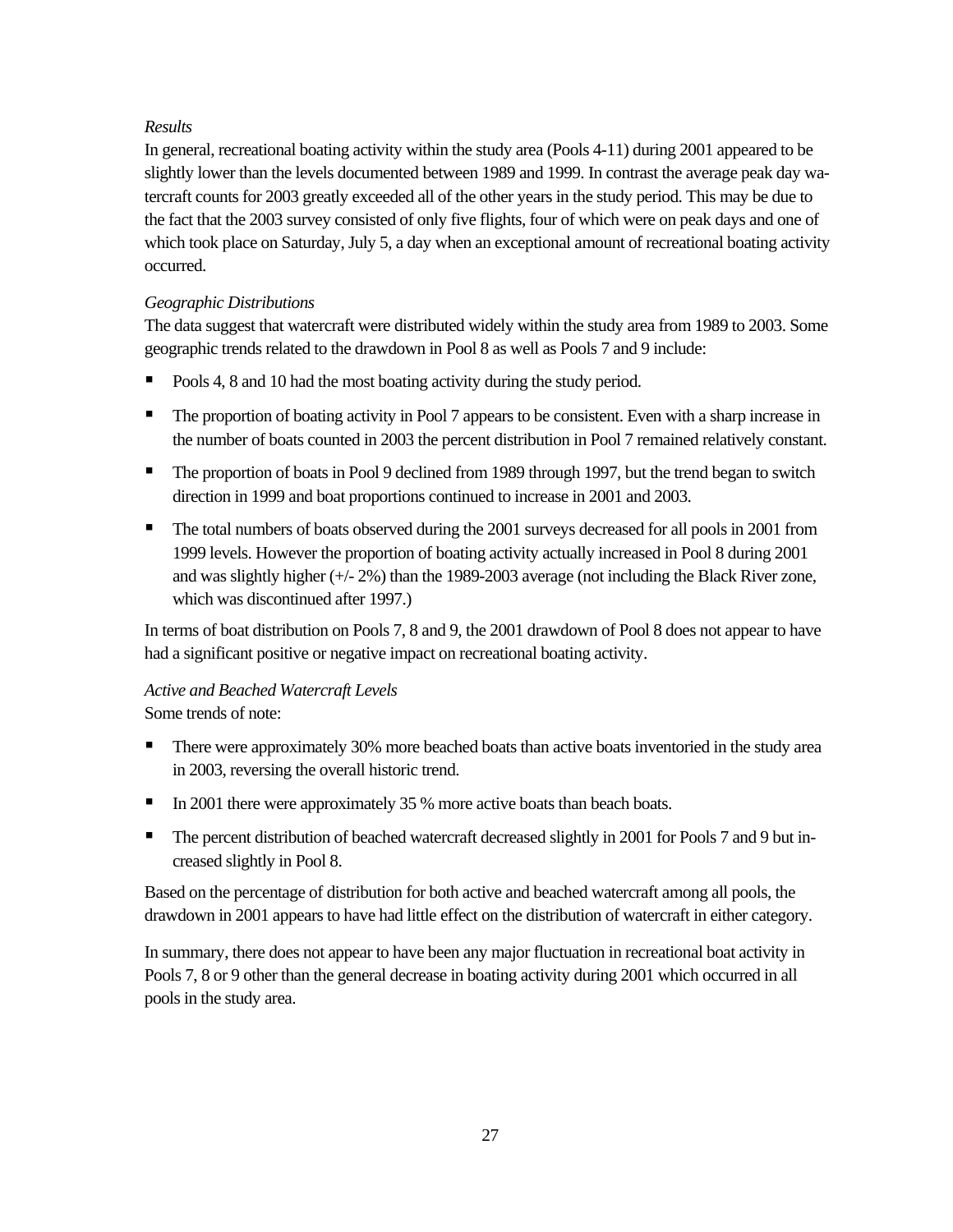#### *Results*

In general, recreational boating activity within the study area (Pools 4-11) during 2001 appeared to be slightly lower than the levels documented between 1989 and 1999. In contrast the average peak day watercraft counts for 2003 greatly exceeded all of the other years in the study period. This may be due to the fact that the 2003 survey consisted of only five flights, four of which were on peak days and one of which took place on Saturday, July 5, a day when an exceptional amount of recreational boating activity occurred.

#### *Geographic Distributions*

The data suggest that watercraft were distributed widely within the study area from 1989 to 2003. Some geographic trends related to the drawdown in Pool 8 as well as Pools 7 and 9 include:

- Pools 4, 8 and 10 had the most boating activity during the study period.
- **The proportion of boating activity in Pool 7 appears to be consistent.** Even with a sharp increase in the number of boats counted in 2003 the percent distribution in Pool 7 remained relatively constant.
- The proportion of boats in Pool 9 declined from 1989 through 1997, but the trend began to switch direction in 1999 and boat proportions continued to increase in 2001 and 2003.
- The total numbers of boats observed during the 2001 surveys decreased for all pools in 2001 from 1999 levels. However the proportion of boating activity actually increased in Pool 8 during 2001 and was slightly higher (+/- 2%) than the 1989-2003 average (not including the Black River zone, which was discontinued after 1997.)

In terms of boat distribution on Pools 7, 8 and 9, the 2001 drawdown of Pool 8 does not appear to have had a significant positive or negative impact on recreational boating activity.

# *Active and Beached Watercraft Levels*

Some trends of note:

- There were approximately 30% more beached boats than active boats inventoried in the study area in 2003, reversing the overall historic trend.
- In 2001 there were approximately 35 % more active boats than beach boats.
- The percent distribution of beached watercraft decreased slightly in 2001 for Pools 7 and 9 but increased slightly in Pool 8.

Based on the percentage of distribution for both active and beached watercraft among all pools, the drawdown in 2001 appears to have had little effect on the distribution of watercraft in either category.

In summary, there does not appear to have been any major fluctuation in recreational boat activity in Pools 7, 8 or 9 other than the general decrease in boating activity during 2001 which occurred in all pools in the study area.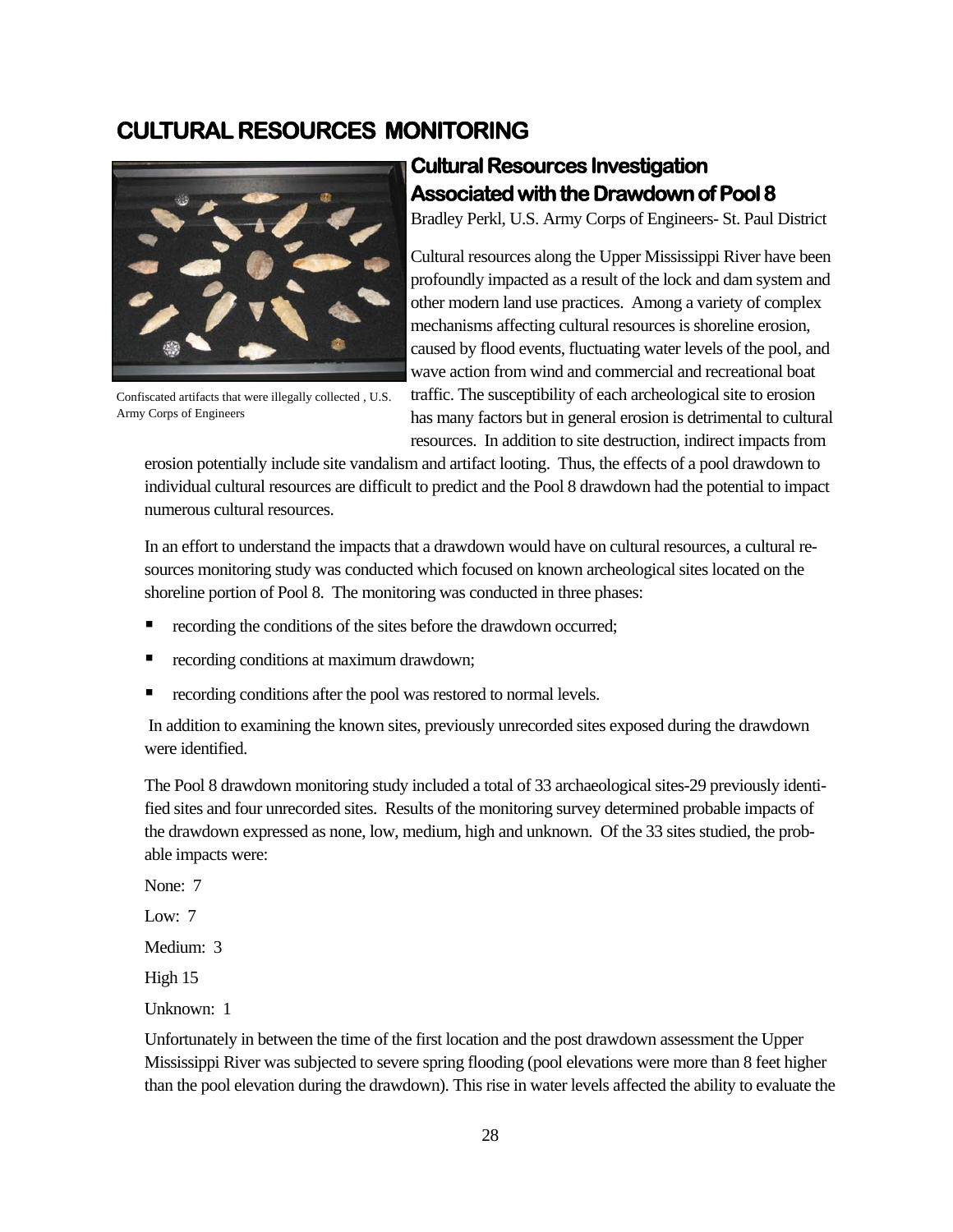## **CULTURAL RESOURCES MONITORING**



Confiscated artifacts that were illegally collected , U.S. Army Corps of Engineers

# **Cultural Resources Investigation Associated with the Drawdown of Pool 8**

Bradley Perkl, U.S. Army Corps of Engineers- St. Paul District

Cultural resources along the Upper Mississippi River have been profoundly impacted as a result of the lock and dam system and other modern land use practices. Among a variety of complex mechanisms affecting cultural resources is shoreline erosion, caused by flood events, fluctuating water levels of the pool, and wave action from wind and commercial and recreational boat traffic. The susceptibility of each archeological site to erosion has many factors but in general erosion is detrimental to cultural resources. In addition to site destruction, indirect impacts from

erosion potentially include site vandalism and artifact looting. Thus, the effects of a pool drawdown to individual cultural resources are difficult to predict and the Pool 8 drawdown had the potential to impact numerous cultural resources.

In an effort to understand the impacts that a drawdown would have on cultural resources, a cultural resources monitoring study was conducted which focused on known archeological sites located on the shoreline portion of Pool 8. The monitoring was conducted in three phases:

- **•** recording the conditions of the sites before the drawdown occurred;
- **•** recording conditions at maximum drawdown;
- **•** recording conditions after the pool was restored to normal levels.

 In addition to examining the known sites, previously unrecorded sites exposed during the drawdown were identified.

The Pool 8 drawdown monitoring study included a total of 33 archaeological sites-29 previously identified sites and four unrecorded sites. Results of the monitoring survey determined probable impacts of the drawdown expressed as none, low, medium, high and unknown. Of the 33 sites studied, the probable impacts were:

None: 7

Low: 7

Medium: 3

High 15

Unknown: 1

Unfortunately in between the time of the first location and the post drawdown assessment the Upper Mississippi River was subjected to severe spring flooding (pool elevations were more than 8 feet higher than the pool elevation during the drawdown). This rise in water levels affected the ability to evaluate the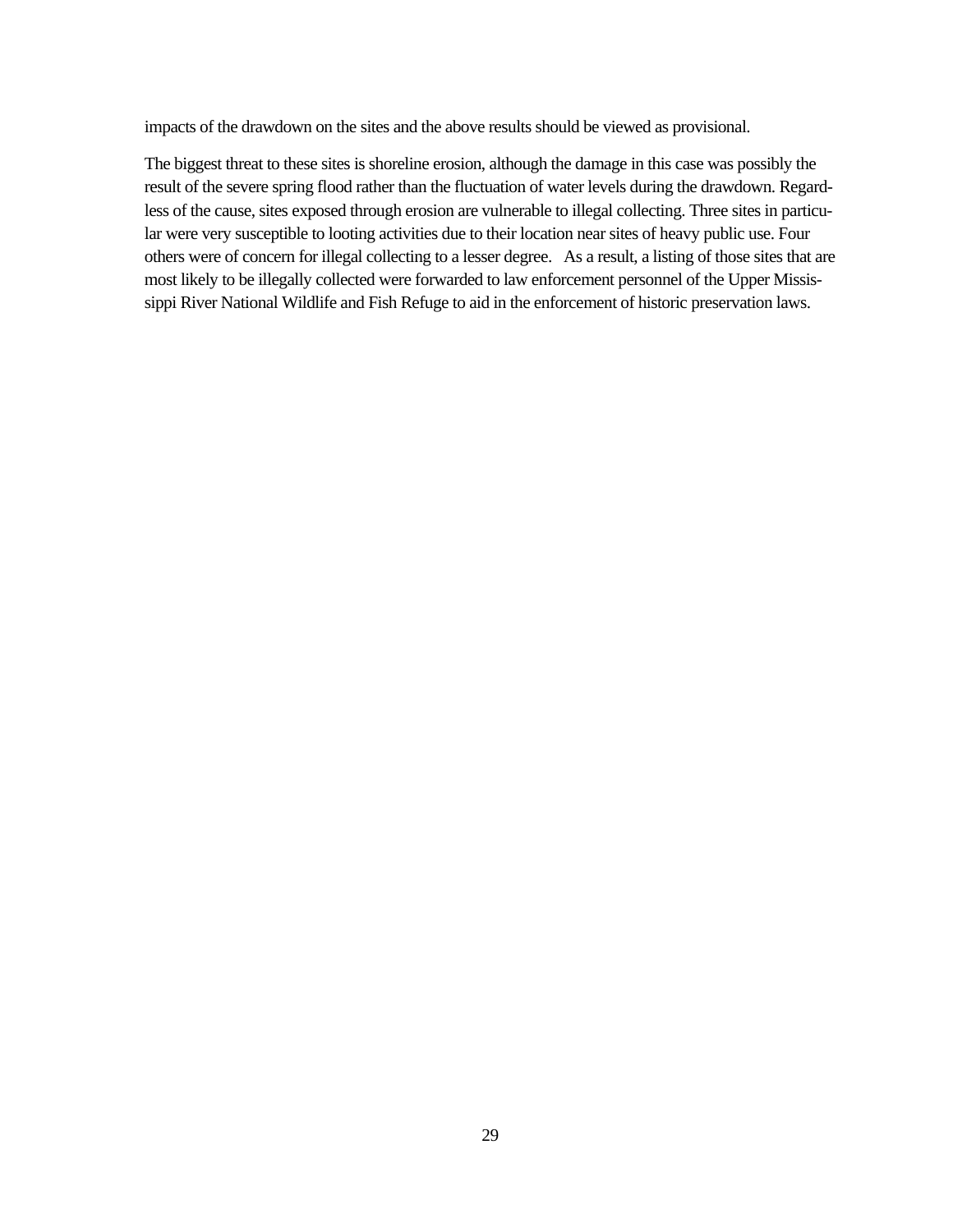impacts of the drawdown on the sites and the above results should be viewed as provisional.

The biggest threat to these sites is shoreline erosion, although the damage in this case was possibly the result of the severe spring flood rather than the fluctuation of water levels during the drawdown. Regardless of the cause, sites exposed through erosion are vulnerable to illegal collecting. Three sites in particular were very susceptible to looting activities due to their location near sites of heavy public use. Four others were of concern for illegal collecting to a lesser degree. As a result, a listing of those sites that are most likely to be illegally collected were forwarded to law enforcement personnel of the Upper Mississippi River National Wildlife and Fish Refuge to aid in the enforcement of historic preservation laws.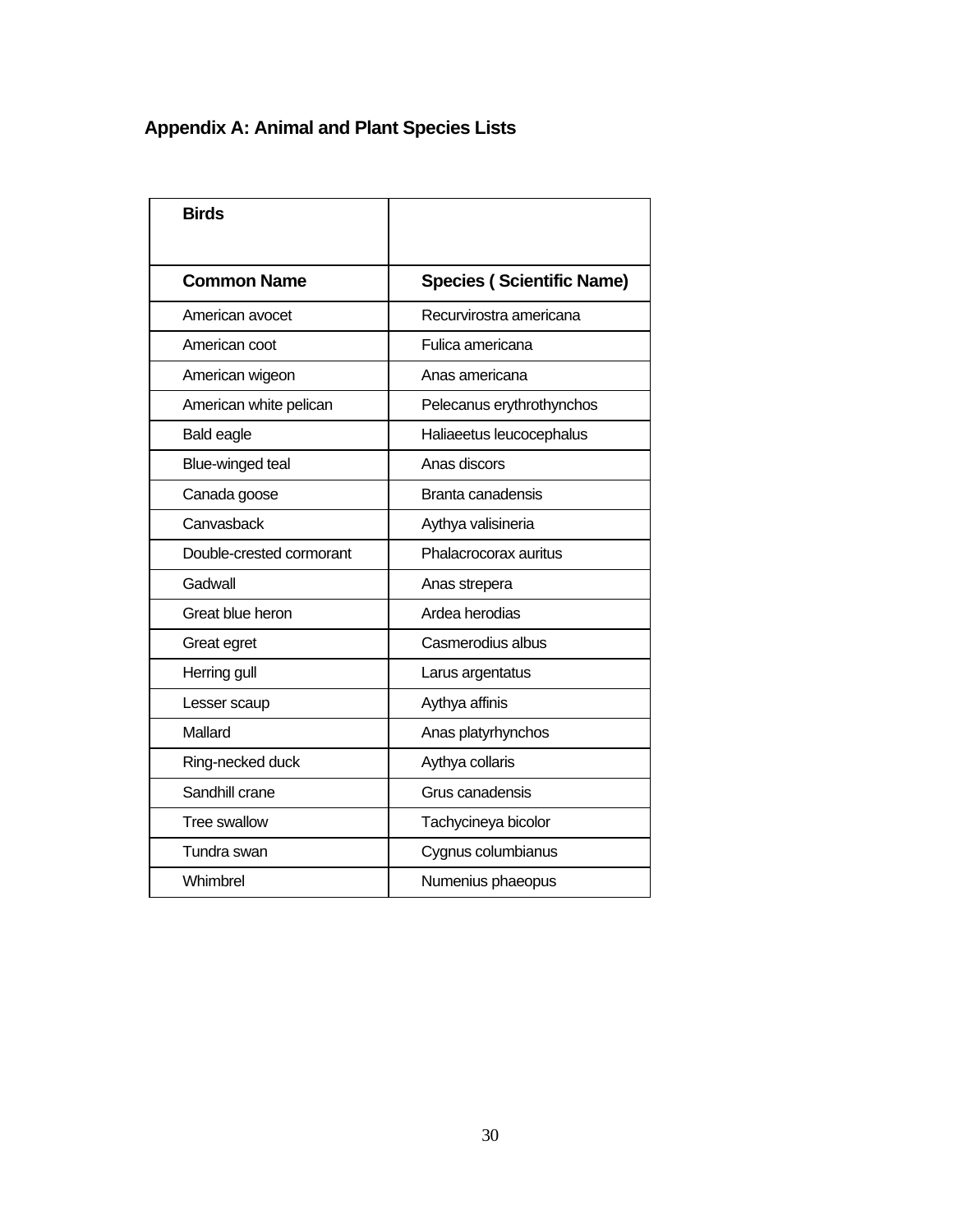# **Appendix A: Animal and Plant Species Lists**

| <b>Birds</b>             |                                  |
|--------------------------|----------------------------------|
| <b>Common Name</b>       | <b>Species (Scientific Name)</b> |
| American avocet          | Recurvirostra americana          |
| American coot            | Fulica americana                 |
| American wigeon          | Anas americana                   |
| American white pelican   | Pelecanus erythrothynchos        |
| <b>Bald eagle</b>        | Haliaeetus leucocephalus         |
| Blue-winged teal         | Anas discors                     |
| Canada goose             | Branta canadensis                |
| Canvasback               | Aythya valisineria               |
| Double-crested cormorant | Phalacrocorax auritus            |
| Gadwall                  | Anas strepera                    |
| Great blue heron         | Ardea herodias                   |
| Great egret              | Casmerodius albus                |
| Herring gull             | Larus argentatus                 |
| Lesser scaup             | Aythya affinis                   |
| Mallard                  | Anas platyrhynchos               |
| Ring-necked duck         | Aythya collaris                  |
| Sandhill crane           | Grus canadensis                  |
| <b>Tree swallow</b>      | Tachycineya bicolor              |
| Tundra swan              | Cygnus columbianus               |
| Whimbrel                 | Numenius phaeopus                |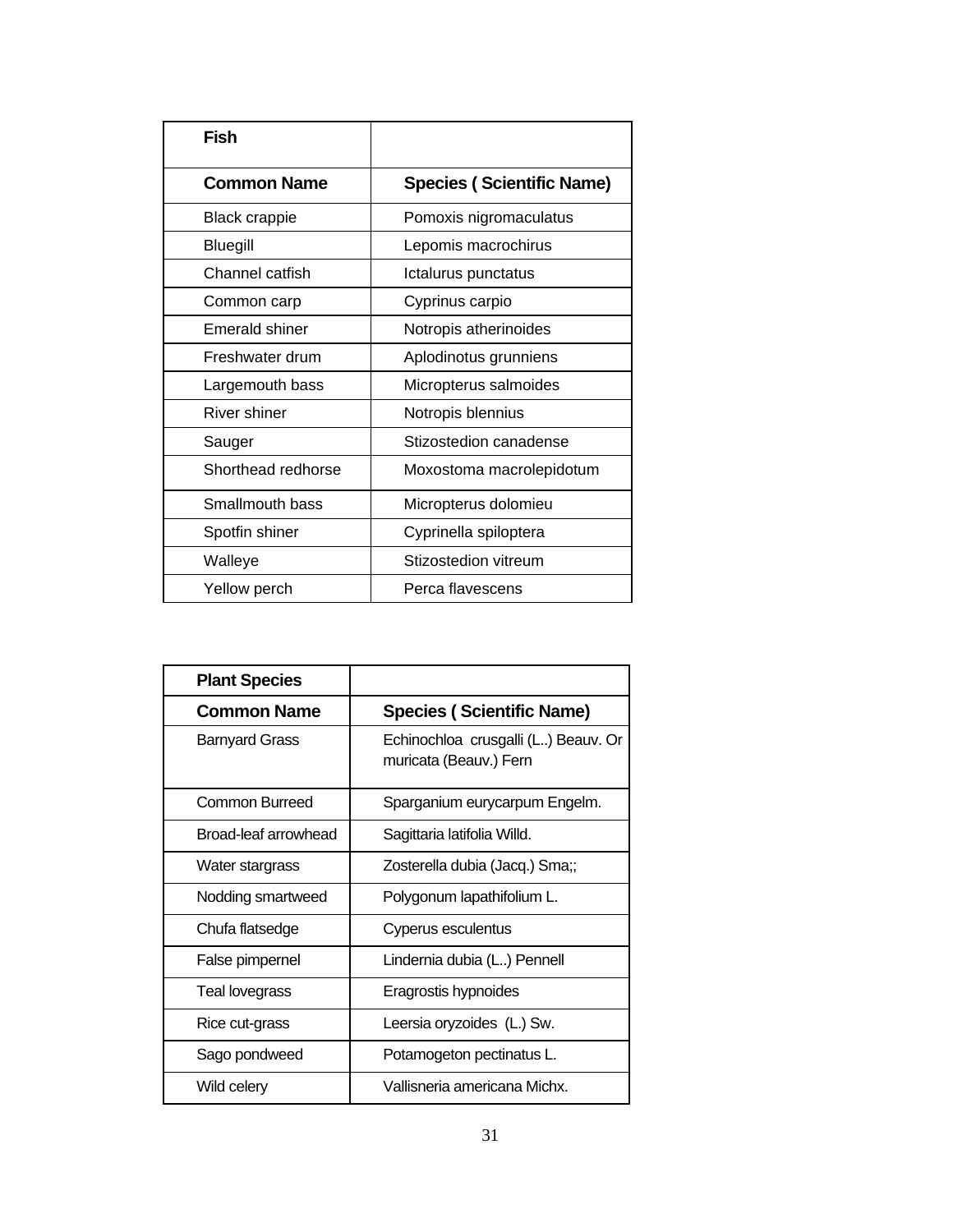| Fish                 |                                  |
|----------------------|----------------------------------|
| <b>Common Name</b>   | <b>Species (Scientific Name)</b> |
| <b>Black crappie</b> | Pomoxis nigromaculatus           |
| Bluegill             | Lepomis macrochirus              |
| Channel catfish      | Ictalurus punctatus              |
| Common carp          | Cyprinus carpio                  |
| Emerald shiner       | Notropis atherinoides            |
| Freshwater drum      | Aplodinotus grunniens            |
| Largemouth bass      | Micropterus salmoides            |
| River shiner         | Notropis blennius                |
| Sauger               | Stizostedion canadense           |
| Shorthead redhorse   | Moxostoma macrolepidotum         |
| Smallmouth bass      | Micropterus dolomieu             |
| Spotfin shiner       | Cyprinella spiloptera            |
| Walleye              | Stizostedion vitreum             |
| Yellow perch         | Perca flavescens                 |

| <b>Plant Species</b>  |                                                               |
|-----------------------|---------------------------------------------------------------|
| <b>Common Name</b>    | <b>Species (Scientific Name)</b>                              |
| <b>Barnyard Grass</b> | Echinochloa crusgalli (L) Beauv. Or<br>muricata (Beauv.) Fern |
| Common Burreed        | Sparganium eurycarpum Engelm.                                 |
| Broad-leaf arrowhead  | Sagittaria latifolia Willd.                                   |
| Water stargrass       | Zosterella dubia (Jacq.) Sma;;                                |
| Nodding smartweed     | Polygonum lapathifolium L.                                    |
| Chufa flatsedge       | Cyperus esculentus                                            |
| False pimpernel       | Lindernia dubia (L) Pennell                                   |
| Teal lovegrass        | Eragrostis hypnoides                                          |
| Rice cut-grass        | Leersia oryzoides (L.) Sw.                                    |
| Sago pondweed         | Potamogeton pectinatus L.                                     |
| Wild celery           | Vallisneria americana Michx.                                  |